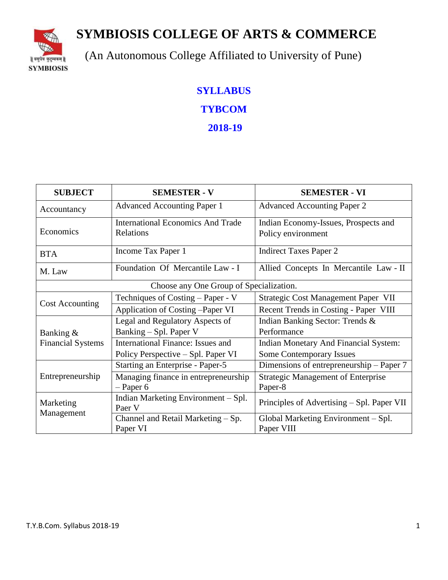**SYMBIOSIS COLLEGE OF ARTS & COMMERCE**



(An Autonomous College Affiliated to University of Pune)

# **SYLLABUS**

**TYBCOM** 

**2018-19**

| <b>SUBJECT</b>           | <b>SEMESTER - V</b>                           | <b>SEMESTER - VI</b>                         |
|--------------------------|-----------------------------------------------|----------------------------------------------|
| Accountancy              | <b>Advanced Accounting Paper 1</b>            | <b>Advanced Accounting Paper 2</b>           |
|                          | <b>International Economics And Trade</b>      | Indian Economy-Issues, Prospects and         |
| Economics                | Relations                                     | Policy environment                           |
| <b>BTA</b>               | Income Tax Paper 1                            | <b>Indirect Taxes Paper 2</b>                |
| M. Law                   | Foundation Of Mercantile Law - I              | Allied Concepts In Mercantile Law - II       |
|                          | Choose any One Group of Specialization.       |                                              |
| <b>Cost Accounting</b>   | Techniques of Costing – Paper - V             | Strategic Cost Management Paper VII          |
|                          | Application of Costing -Paper VI              | Recent Trends in Costing - Paper VIII        |
|                          | Legal and Regulatory Aspects of               | Indian Banking Sector: Trends &              |
| Banking &                | Banking – Spl. Paper V                        | Performance                                  |
| <b>Financial Systems</b> | International Finance: Issues and             | <b>Indian Monetary And Financial System:</b> |
|                          | Policy Perspective – Spl. Paper VI            | <b>Some Contemporary Issues</b>              |
|                          | Starting an Enterprise - Paper-5              | Dimensions of entrepreneurship – Paper 7     |
| Entrepreneurship         | Managing finance in entrepreneurship          | <b>Strategic Management of Enterprise</b>    |
|                          | $-$ Paper 6                                   | Paper-8                                      |
| Marketing<br>Management  | Indian Marketing Environment - Spl.<br>Paer V | Principles of Advertising – Spl. Paper VII   |
|                          | Channel and Retail Marketing $-Sp$ .          | Global Marketing Environment - Spl.          |
|                          | Paper VI                                      | Paper VIII                                   |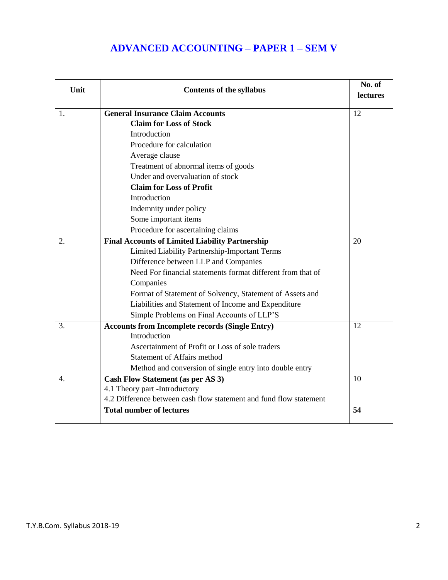# **ADVANCED ACCOUNTING – PAPER 1 – SEM V**

| Unit | <b>Contents of the syllabus</b>                                    | No. of<br>lectures |
|------|--------------------------------------------------------------------|--------------------|
|      |                                                                    |                    |
| 1.   | <b>General Insurance Claim Accounts</b>                            | 12                 |
|      | <b>Claim for Loss of Stock</b>                                     |                    |
|      | Introduction                                                       |                    |
|      | Procedure for calculation                                          |                    |
|      | Average clause                                                     |                    |
|      | Treatment of abnormal items of goods                               |                    |
|      | Under and overvaluation of stock                                   |                    |
|      | <b>Claim for Loss of Profit</b>                                    |                    |
|      | Introduction                                                       |                    |
|      | Indemnity under policy                                             |                    |
|      | Some important items                                               |                    |
|      | Procedure for ascertaining claims                                  |                    |
| 2.   | <b>Final Accounts of Limited Liability Partnership</b>             | 20                 |
|      | Limited Liability Partnership-Important Terms                      |                    |
|      | Difference between LLP and Companies                               |                    |
|      | Need For financial statements format different from that of        |                    |
|      | Companies                                                          |                    |
|      | Format of Statement of Solvency, Statement of Assets and           |                    |
|      | Liabilities and Statement of Income and Expenditure                |                    |
|      | Simple Problems on Final Accounts of LLP'S                         |                    |
| 3.   | <b>Accounts from Incomplete records (Single Entry)</b>             | 12                 |
|      | Introduction                                                       |                    |
|      | Ascertainment of Profit or Loss of sole traders                    |                    |
|      | <b>Statement of Affairs method</b>                                 |                    |
|      | Method and conversion of single entry into double entry            |                    |
| 4.   | <b>Cash Flow Statement (as per AS 3)</b>                           | 10                 |
|      | 4.1 Theory part -Introductory                                      |                    |
|      | 4.2 Difference between cash flow statement and fund flow statement |                    |
|      | <b>Total number of lectures</b>                                    | 54                 |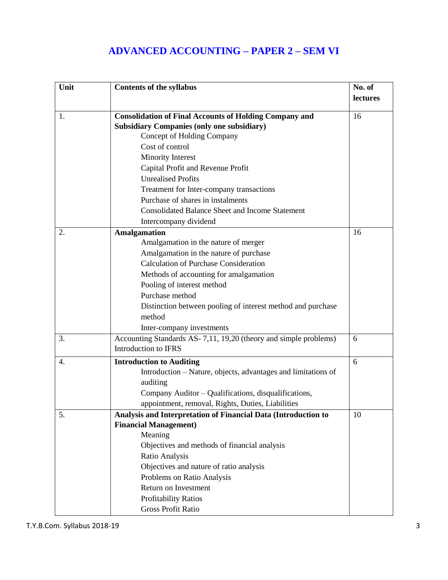# **ADVANCED ACCOUNTING – PAPER 2 – SEM VI**

| Unit | <b>Contents of the syllabus</b>                                                                                    | No. of   |
|------|--------------------------------------------------------------------------------------------------------------------|----------|
|      |                                                                                                                    | lectures |
|      |                                                                                                                    | 16       |
| 1.   | <b>Consolidation of Final Accounts of Holding Company and</b><br><b>Subsidiary Companies (only one subsidiary)</b> |          |
|      | Concept of Holding Company                                                                                         |          |
|      | Cost of control                                                                                                    |          |
|      |                                                                                                                    |          |
|      | Minority Interest                                                                                                  |          |
|      | Capital Profit and Revenue Profit                                                                                  |          |
|      | <b>Unrealised Profits</b>                                                                                          |          |
|      | Treatment for Inter-company transactions                                                                           |          |
|      | Purchase of shares in instalments                                                                                  |          |
|      | <b>Consolidated Balance Sheet and Income Statement</b>                                                             |          |
|      | Intercompany dividend                                                                                              |          |
| 2.   | <b>Amalgamation</b>                                                                                                | 16       |
|      | Amalgamation in the nature of merger                                                                               |          |
|      | Amalgamation in the nature of purchase                                                                             |          |
|      | <b>Calculation of Purchase Consideration</b>                                                                       |          |
|      | Methods of accounting for amalgamation                                                                             |          |
|      | Pooling of interest method                                                                                         |          |
|      | Purchase method                                                                                                    |          |
|      | Distinction between pooling of interest method and purchase                                                        |          |
|      | method                                                                                                             |          |
|      | Inter-company investments                                                                                          |          |
| 3.   | Accounting Standards AS-7,11, 19,20 (theory and simple problems)                                                   | 6        |
|      | <b>Introduction to IFRS</b>                                                                                        |          |
| 4.   | <b>Introduction to Auditing</b>                                                                                    | 6        |
|      | Introduction – Nature, objects, advantages and limitations of                                                      |          |
|      | auditing                                                                                                           |          |
|      | Company Auditor - Qualifications, disqualifications,                                                               |          |
|      | appointment, removal, Rights, Duties, Liabilities                                                                  |          |
| 5.   | Analysis and Interpretation of Financial Data (Introduction to                                                     | 10       |
|      | <b>Financial Management)</b>                                                                                       |          |
|      | Meaning                                                                                                            |          |
|      | Objectives and methods of financial analysis                                                                       |          |
|      | Ratio Analysis                                                                                                     |          |
|      | Objectives and nature of ratio analysis                                                                            |          |
|      | Problems on Ratio Analysis                                                                                         |          |
|      | Return on Investment                                                                                               |          |
|      | Profitability Ratios                                                                                               |          |
|      | Gross Profit Ratio                                                                                                 |          |
|      |                                                                                                                    |          |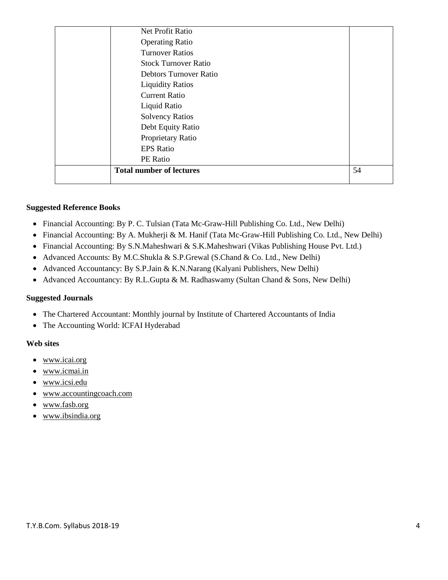| Net Profit Ratio                |    |
|---------------------------------|----|
| <b>Operating Ratio</b>          |    |
| <b>Turnover Ratios</b>          |    |
| <b>Stock Turnover Ratio</b>     |    |
| <b>Debtors Turnover Ratio</b>   |    |
| <b>Liquidity Ratios</b>         |    |
| <b>Current Ratio</b>            |    |
| Liquid Ratio                    |    |
| <b>Solvency Ratios</b>          |    |
| Debt Equity Ratio               |    |
| Proprietary Ratio               |    |
| <b>EPS</b> Ratio                |    |
| PE Ratio                        |    |
| <b>Total number of lectures</b> | 54 |
|                                 |    |

#### **Suggested Reference Books**

- Financial Accounting: By P. C. Tulsian (Tata Mc-Graw-Hill Publishing Co. Ltd., New Delhi)
- Financial Accounting: By A. Mukherji & M. Hanif (Tata Mc-Graw-Hill Publishing Co. Ltd., New Delhi)
- Financial Accounting: By S.N.Maheshwari & S.K.Maheshwari (Vikas Publishing House Pvt. Ltd.)
- Advanced Accounts: By M.C.Shukla & S.P.Grewal (S.Chand & Co. Ltd., New Delhi)
- Advanced Accountancy: By S.P.Jain & K.N.Narang (Kalyani Publishers, New Delhi)
- Advanced Accountancy: By R.L.Gupta & M. Radhaswamy (Sultan Chand & Sons, New Delhi)

#### **Suggested Journals**

- The Chartered Accountant: Monthly journal by Institute of Chartered Accountants of India
- The Accounting World: ICFAI Hyderabad

#### **Web sites**

- [www.icai.org](http://www.icai.org/)
- [www.icmai.in](http://www.icmai.in/)
- [www.icsi.edu](http://www.icsi.edu/)
- [www.accountingcoach.com](http://www.accountingcoach.com/)
- [www.fasb.org](http://www.fasb.org/)
- [www.ibsindia.org](http://www.ibsindia.org/)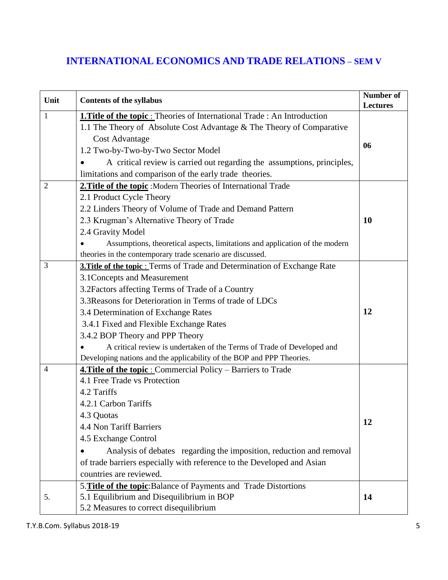# **INTERNATIONAL ECONOMICS AND TRADE RELATIONS – SEM V**

| Unit           | <b>Contents of the syllabus</b>                                                  | <b>Number of</b><br><b>Lectures</b> |
|----------------|----------------------------------------------------------------------------------|-------------------------------------|
| 1              | <b>1. Title of the topic:</b> Theories of International Trade: An Introduction   |                                     |
|                | 1.1 The Theory of Absolute Cost Advantage & The Theory of Comparative            |                                     |
|                | <b>Cost Advantage</b>                                                            |                                     |
|                | 1.2 Two-by-Two-by-Two Sector Model                                               | 06                                  |
|                | A critical review is carried out regarding the assumptions, principles,          |                                     |
|                | limitations and comparison of the early trade theories.                          |                                     |
| $\overline{2}$ | 2. Title of the topic : Modern Theories of International Trade                   |                                     |
|                | 2.1 Product Cycle Theory                                                         |                                     |
|                | 2.2 Linders Theory of Volume of Trade and Demand Pattern                         |                                     |
|                | 2.3 Krugman's Alternative Theory of Trade                                        | <b>10</b>                           |
|                | 2.4 Gravity Model                                                                |                                     |
|                | Assumptions, theoretical aspects, limitations and application of the modern      |                                     |
|                | theories in the contemporary trade scenario are discussed.                       |                                     |
| 3              | <b>3. Title of the topic :</b> Terms of Trade and Determination of Exchange Rate |                                     |
|                | 3.1 Concepts and Measurement                                                     |                                     |
|                | 3.2 Factors affecting Terms of Trade of a Country                                |                                     |
|                | 3.3 Reasons for Deterioration in Terms of trade of LDCs                          |                                     |
|                | 3.4 Determination of Exchange Rates                                              | 12                                  |
|                | 3.4.1 Fixed and Flexible Exchange Rates                                          |                                     |
|                | 3.4.2 BOP Theory and PPP Theory                                                  |                                     |
|                | A critical review is undertaken of the Terms of Trade of Developed and           |                                     |
|                | Developing nations and the applicability of the BOP and PPP Theories.            |                                     |
| 4              | <b>4. Title of the topic:</b> Commercial Policy – Barriers to Trade              |                                     |
|                | 4.1 Free Trade vs Protection                                                     |                                     |
|                | 4.2 Tariffs                                                                      |                                     |
|                | 4.2.1 Carbon Tariffs                                                             |                                     |
|                | 4.3 Quotas                                                                       | 12                                  |
|                | 4.4 Non Tariff Barriers                                                          |                                     |
|                | 4.5 Exchange Control                                                             |                                     |
|                | Analysis of debates regarding the imposition, reduction and removal              |                                     |
|                | of trade barriers especially with reference to the Developed and Asian           |                                     |
|                | countries are reviewed.                                                          |                                     |
|                | 5. Title of the topic: Balance of Payments and Trade Distortions                 |                                     |
| 5.             | 5.1 Equilibrium and Disequilibrium in BOP                                        | 14                                  |
|                | 5.2 Measures to correct disequilibrium                                           |                                     |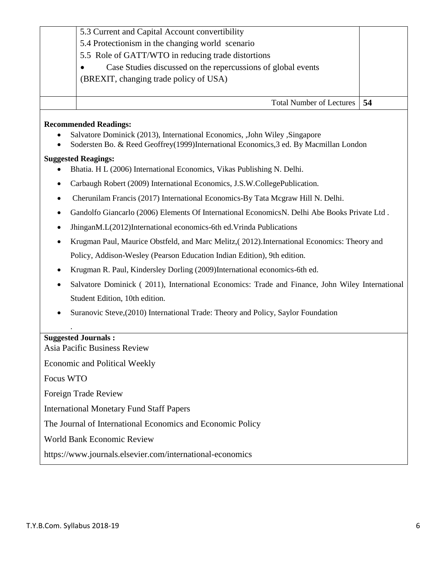|           | 5.3 Current and Capital Account convertibility                                                                                                                                                      |    |  |
|-----------|-----------------------------------------------------------------------------------------------------------------------------------------------------------------------------------------------------|----|--|
|           | 5.4 Protectionism in the changing world scenario                                                                                                                                                    |    |  |
|           | 5.5 Role of GATT/WTO in reducing trade distortions                                                                                                                                                  |    |  |
|           | Case Studies discussed on the repercussions of global events                                                                                                                                        |    |  |
|           | (BREXIT, changing trade policy of USA)                                                                                                                                                              |    |  |
|           |                                                                                                                                                                                                     |    |  |
|           | <b>Total Number of Lectures</b>                                                                                                                                                                     | 54 |  |
|           | <b>Recommended Readings:</b><br>Salvatore Dominick (2013), International Economics, ,John Wiley ,Singapore<br>Sodersten Bo. & Reed Geoffrey(1999)International Economics, 3 ed. By Macmillan London |    |  |
|           | <b>Suggested Reagings:</b>                                                                                                                                                                          |    |  |
|           | Bhatia. H L (2006) International Economics, Vikas Publishing N. Delhi.                                                                                                                              |    |  |
|           | Carbaugh Robert (2009) International Economics, J.S.W.CollegePublication.                                                                                                                           |    |  |
|           | Cherunilam Francis (2017) International Economics-By Tata Mcgraw Hill N. Delhi.                                                                                                                     |    |  |
| ٠         | Gandolfo Giancarlo (2006) Elements Of International Economics N. Delhi Abe Books Private Ltd.                                                                                                       |    |  |
| ٠         | JhinganM.L(2012)International economics-6th ed. Vrinda Publications                                                                                                                                 |    |  |
|           | Krugman Paul, Maurice Obstfeld, and Marc Melitz, (2012). International Economics: Theory and                                                                                                        |    |  |
|           | Policy, Addison-Wesley (Pearson Education Indian Edition), 9th edition.                                                                                                                             |    |  |
|           | Krugman R. Paul, Kindersley Dorling (2009)International economics-6th ed.                                                                                                                           |    |  |
|           | Salvatore Dominick (2011), International Economics: Trade and Finance, John Wiley International                                                                                                     |    |  |
|           | Student Edition, 10th edition.                                                                                                                                                                      |    |  |
|           | Suranovic Steve, (2010) International Trade: Theory and Policy, Saylor Foundation                                                                                                                   |    |  |
|           |                                                                                                                                                                                                     |    |  |
|           | <b>Suggested Journals:</b><br>Asia Pacific Business Review                                                                                                                                          |    |  |
|           | Economic and Political Weekly                                                                                                                                                                       |    |  |
| Focus WTO |                                                                                                                                                                                                     |    |  |
|           | Foreign Trade Review                                                                                                                                                                                |    |  |
|           | <b>International Monetary Fund Staff Papers</b>                                                                                                                                                     |    |  |
|           | The Journal of International Economics and Economic Policy                                                                                                                                          |    |  |
|           | World Bank Economic Review                                                                                                                                                                          |    |  |
|           | https://www.journals.elsevier.com/international-economics                                                                                                                                           |    |  |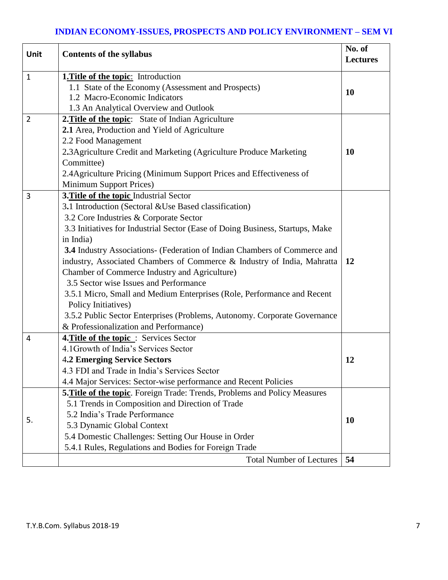# **INDIAN ECONOMY-ISSUES, PROSPECTS AND POLICY ENVIRONMENT – SEM VI**

| Unit           | <b>Contents of the syllabus</b>                                               | No. of<br><b>Lectures</b> |
|----------------|-------------------------------------------------------------------------------|---------------------------|
| $\mathbf{1}$   | <b>1. Title of the topic:</b> Introduction                                    |                           |
|                | 1.1 State of the Economy (Assessment and Prospects)                           |                           |
|                | 1.2 Macro-Economic Indicators                                                 | <b>10</b>                 |
|                | 1.3 An Analytical Overview and Outlook                                        |                           |
| $\overline{2}$ | 2. Title of the topic: State of Indian Agriculture                            |                           |
|                | 2.1 Area, Production and Yield of Agriculture                                 |                           |
|                | 2.2 Food Management                                                           |                           |
|                | 2.3 Agriculture Credit and Marketing (Agriculture Produce Marketing           | <b>10</b>                 |
|                | Committee)                                                                    |                           |
|                | 2.4 Agriculture Pricing (Minimum Support Prices and Effectiveness of          |                           |
|                | Minimum Support Prices)                                                       |                           |
| 3              | 3. Title of the topic Industrial Sector                                       |                           |
|                | 3.1 Introduction (Sectoral & Use Based classification)                        |                           |
|                | 3.2 Core Industries & Corporate Sector                                        |                           |
|                | 3.3 Initiatives for Industrial Sector (Ease of Doing Business, Startups, Make |                           |
|                | in India)                                                                     |                           |
|                | 3.4 Industry Associations- (Federation of Indian Chambers of Commerce and     |                           |
|                | industry, Associated Chambers of Commerce & Industry of India, Mahratta       | 12                        |
|                | Chamber of Commerce Industry and Agriculture)                                 |                           |
|                | 3.5 Sector wise Issues and Performance                                        |                           |
|                | 3.5.1 Micro, Small and Medium Enterprises (Role, Performance and Recent       |                           |
|                | Policy Initiatives)                                                           |                           |
|                | 3.5.2 Public Sector Enterprises (Problems, Autonomy. Corporate Governance     |                           |
|                | & Professionalization and Performance)                                        |                           |
| 4              | 4. Title of the topic: Services Sector                                        |                           |
|                | 4.1 Growth of India's Services Sector                                         |                           |
|                | <b>4.2 Emerging Service Sectors</b>                                           | 12                        |
|                | 4.3 FDI and Trade in India's Services Sector                                  |                           |
|                | 4.4 Major Services: Sector-wise performance and Recent Policies               |                           |
|                | 5. Title of the topic. Foreign Trade: Trends, Problems and Policy Measures    |                           |
|                | 5.1 Trends in Composition and Direction of Trade                              |                           |
| 5.             | 5.2 India's Trade Performance                                                 | <b>10</b>                 |
|                | 5.3 Dynamic Global Context                                                    |                           |
|                | 5.4 Domestic Challenges: Setting Our House in Order                           |                           |
|                | 5.4.1 Rules, Regulations and Bodies for Foreign Trade                         |                           |
|                | <b>Total Number of Lectures</b>                                               | 54                        |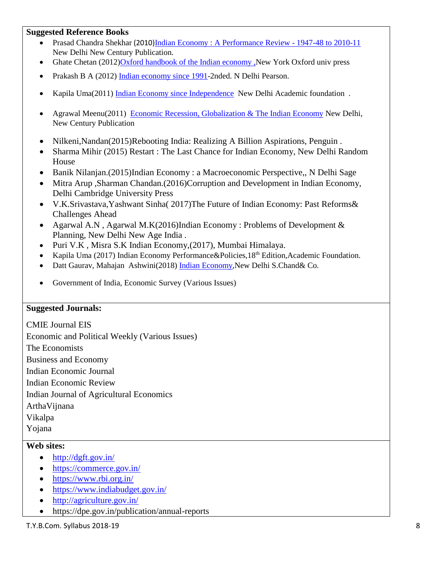#### **Suggested Reference Books**

- Prasad Chandra Shekhar (2010)[Indian Economy : A Performance Review -](http://dataserver/libsuite/ca_det.asp?m_doc_no=50569) 1947-48 to 2010-11 New Delhi New Century Publication.
- Ghate Chetan (2012[\)Oxford handbook of the Indian economy](http://dataserver/libsuite/ca_det.asp?m_doc_no=55576) ,New York Oxford univ press
- Prakash B A (2012) [Indian economy since 1991-](http://dataserver/libsuite/ca_det.asp?m_doc_no=55469)2nded. N Delhi Pearson.
- Kapila Uma(2011) [Indian Economy since Independence](http://dataserver/libsuite/ca_det.asp?m_doc_no=54923) New Delhi Academic foundation.
- Agrawal Meenu(2011) [Economic Recession, Globalization & The Indian Economy](http://dataserver/libsuite/ca_det.asp?m_doc_no=54474) New Delhi, New Century Publication
- Nilkeni,Nandan(2015)Rebooting India: Realizing A Billion Aspirations, Penguin .
- Sharma Mihir (2015) Restart : The Last Chance for Indian Economy, New Delhi Random House
- Banik Nilanjan.(2015)Indian Economy : a Macroeconomic Perspective,, N Delhi Sage
- Mitra Arup ,Sharman Chandan.(2016)Corruption and Development in Indian Economy, Delhi Cambridge University Press
- V.K.Srivastava,Yashwant Sinha( 2017)The Future of Indian Economy: Past Reforms& Challenges Ahead
- Agarwal A.N , Agarwal M.K(2016)Indian Economy : Problems of Development & Planning, New Delhi New Age India .
- Puri V.K , Misra S.K Indian Economy,(2017), Mumbai Himalaya.
- Kapila Uma (2017) Indian Economy Performance & Policies, 18<sup>th</sup> Edition, Academic Foundation.
- Datt Gaurav, Mahajan Ashwini(2018) [Indian Economy](http://dataserver/libsuite/ca_det.asp?m_doc_no=54448), New Delhi S.Chand& Co.
- Government of India, Economic Survey (Various Issues)

#### **Suggested Journals:**

CMIE Journal EIS Economic and Political Weekly (Various Issues) The Economists Business and Economy Indian Economic Journal Indian Economic Review Indian Journal of Agricultural Economics ArthaVijnana Vikalpa Yojana

#### **Web sites:**

- $\bullet$  <http://dgft.gov.in/>
- <https://commerce.gov.in/>
- <https://www.rbi.org.in/>
- <https://www.indiabudget.gov.in/>
- <http://agriculture.gov.in/>
- https://dpe.gov.in/publication/annual-reports

T.Y.B.Com. Syllabus 2018-19 8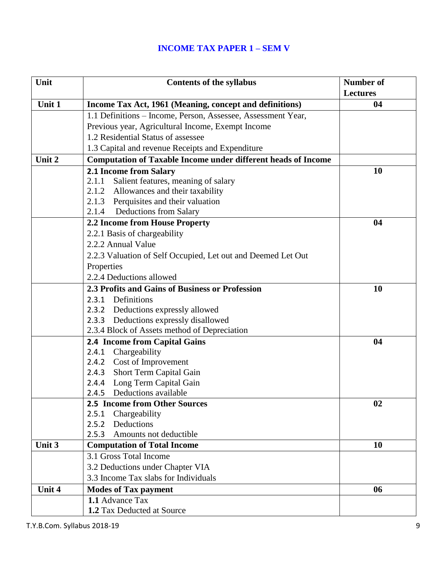# **INCOME TAX PAPER 1 – SEM V**

| Unit   | <b>Contents of the syllabus</b>                                      | <b>Number of</b> |
|--------|----------------------------------------------------------------------|------------------|
|        |                                                                      | <b>Lectures</b>  |
| Unit 1 | Income Tax Act, 1961 (Meaning, concept and definitions)              | 04               |
|        | 1.1 Definitions - Income, Person, Assessee, Assessment Year,         |                  |
|        | Previous year, Agricultural Income, Exempt Income                    |                  |
|        | 1.2 Residential Status of assessee                                   |                  |
|        | 1.3 Capital and revenue Receipts and Expenditure                     |                  |
| Unit 2 | <b>Computation of Taxable Income under different heads of Income</b> |                  |
|        | 2.1 Income from Salary                                               | 10               |
|        | 2.1.1<br>Salient features, meaning of salary                         |                  |
|        | 2.1.2 Allowances and their taxability                                |                  |
|        | 2.1.3 Perquisites and their valuation                                |                  |
|        | 2.1.4 Deductions from Salary                                         |                  |
|        | 2.2 Income from House Property                                       | 04               |
|        | 2.2.1 Basis of chargeability                                         |                  |
|        | 2.2.2 Annual Value                                                   |                  |
|        | 2.2.3 Valuation of Self Occupied, Let out and Deemed Let Out         |                  |
|        | Properties                                                           |                  |
|        | 2.2.4 Deductions allowed                                             |                  |
|        | 2.3 Profits and Gains of Business or Profession                      | 10               |
|        | 2.3.1 Definitions                                                    |                  |
|        | 2.3.2 Deductions expressly allowed                                   |                  |
|        | 2.3.3 Deductions expressly disallowed                                |                  |
|        | 2.3.4 Block of Assets method of Depreciation                         |                  |
|        | 2.4 Income from Capital Gains                                        | 04               |
|        | 2.4.1 Chargeability                                                  |                  |
|        | 2.4.2 Cost of Improvement                                            |                  |
|        | 2.4.3 Short Term Capital Gain                                        |                  |
|        | 2.4.4 Long Term Capital Gain                                         |                  |
|        | 2.4.5 Deductions available                                           |                  |
|        | 2.5 Income from Other Sources                                        | 02               |
|        | Chargeability<br>2.5.1                                               |                  |
|        | Deductions<br>2.5.2                                                  |                  |
|        | 2.5.3<br>Amounts not deductible                                      |                  |
| Unit 3 | <b>Computation of Total Income</b>                                   | 10               |
|        | 3.1 Gross Total Income                                               |                  |
|        | 3.2 Deductions under Chapter VIA                                     |                  |
|        | 3.3 Income Tax slabs for Individuals                                 |                  |
| Unit 4 | <b>Modes of Tax payment</b>                                          | 06               |
|        | 1.1 Advance Tax                                                      |                  |
|        | 1.2 Tax Deducted at Source                                           |                  |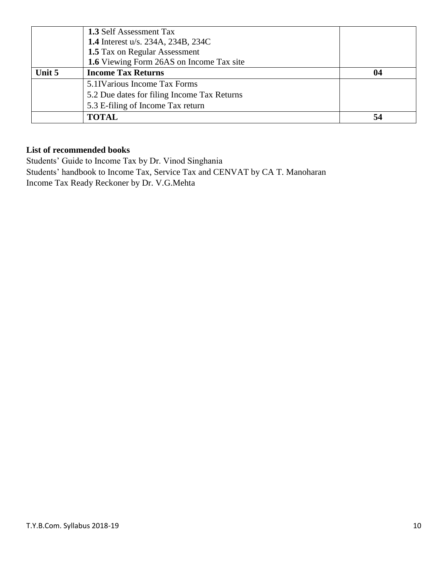|        | <b>1.3 Self Assessment Tax</b>              |    |
|--------|---------------------------------------------|----|
|        | <b>1.4</b> Interest u/s. 234A, 234B, 234C   |    |
|        | 1.5 Tax on Regular Assessment               |    |
|        | 1.6 Viewing Form 26AS on Income Tax site    |    |
| Unit 5 | <b>Income Tax Returns</b>                   | 04 |
|        | 5.1 IV arious Income Tax Forms              |    |
|        | 5.2 Due dates for filing Income Tax Returns |    |
|        | 5.3 E-filing of Income Tax return           |    |
|        | <b>TOTAL</b>                                | 54 |

### **List of recommended books**

Students' Guide to Income Tax by Dr. Vinod Singhania Students' handbook to Income Tax, Service Tax and CENVAT by CA T. Manoharan Income Tax Ready Reckoner by Dr. V.G.Mehta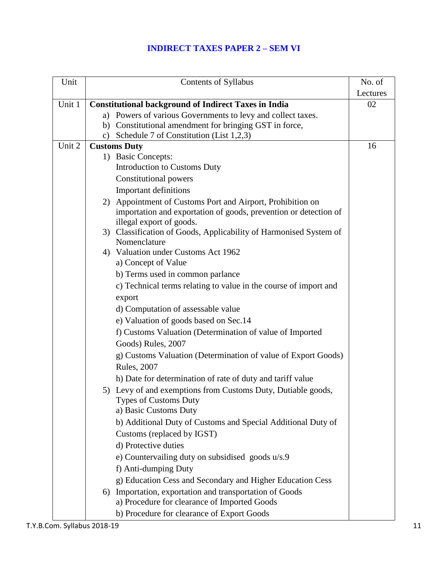# **INDIRECT TAXES PAPER 2 – SEM VI**

| Unit   | Contents of Syllabus                                                                         | No. of   |
|--------|----------------------------------------------------------------------------------------------|----------|
|        |                                                                                              | Lectures |
| Unit 1 | <b>Constitutional background of Indirect Taxes in India</b>                                  | 02       |
|        | a) Powers of various Governments to levy and collect taxes.                                  |          |
|        | Constitutional amendment for bringing GST in force,<br>b)                                    |          |
|        | Schedule 7 of Constitution (List 1,2,3)<br>$\mathbf{c})$                                     |          |
| Unit 2 | <b>Customs Duty</b>                                                                          | 16       |
|        | 1) Basic Concepts:                                                                           |          |
|        | <b>Introduction to Customs Duty</b>                                                          |          |
|        | Constitutional powers                                                                        |          |
|        | <b>Important definitions</b>                                                                 |          |
|        | 2) Appointment of Customs Port and Airport, Prohibition on                                   |          |
|        | importation and exportation of goods, prevention or detection of<br>illegal export of goods. |          |
|        | 3) Classification of Goods, Applicability of Harmonised System of                            |          |
|        | Nomenclature                                                                                 |          |
|        | 4) Valuation under Customs Act 1962                                                          |          |
|        | a) Concept of Value                                                                          |          |
|        | b) Terms used in common parlance                                                             |          |
|        | c) Technical terms relating to value in the course of import and                             |          |
|        | export                                                                                       |          |
|        | d) Computation of assessable value                                                           |          |
|        | e) Valuation of goods based on Sec.14                                                        |          |
|        | f) Customs Valuation (Determination of value of Imported                                     |          |
|        | Goods) Rules, 2007                                                                           |          |
|        | g) Customs Valuation (Determination of value of Export Goods)                                |          |
|        | <b>Rules</b> , 2007                                                                          |          |
|        | h) Date for determination of rate of duty and tariff value                                   |          |
|        | 5) Levy of and exemptions from Customs Duty, Dutiable goods,                                 |          |
|        | <b>Types of Customs Duty</b>                                                                 |          |
|        | a) Basic Customs Duty                                                                        |          |
|        | b) Additional Duty of Customs and Special Additional Duty of                                 |          |
|        | Customs (replaced by IGST)                                                                   |          |
|        | d) Protective duties                                                                         |          |
|        | e) Countervailing duty on subsidised goods u/s.9                                             |          |
|        | f) Anti-dumping Duty                                                                         |          |
|        | g) Education Cess and Secondary and Higher Education Cess                                    |          |
|        | Importation, exportation and transportation of Goods<br>6)                                   |          |
|        | a) Procedure for clearance of Imported Goods                                                 |          |
|        | b) Procedure for clearance of Export Goods                                                   |          |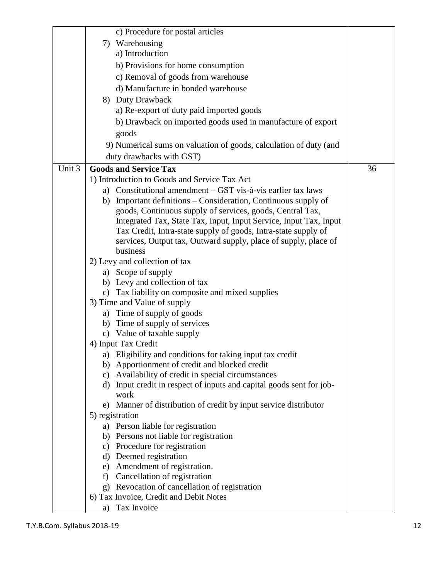|        | c) Procedure for postal articles                                                |    |
|--------|---------------------------------------------------------------------------------|----|
|        | 7) Warehousing                                                                  |    |
|        | a) Introduction                                                                 |    |
|        | b) Provisions for home consumption                                              |    |
|        | c) Removal of goods from warehouse                                              |    |
|        | d) Manufacture in bonded warehouse                                              |    |
|        | 8) Duty Drawback                                                                |    |
|        | a) Re-export of duty paid imported goods                                        |    |
|        | b) Drawback on imported goods used in manufacture of export                     |    |
|        | goods                                                                           |    |
|        | 9) Numerical sums on valuation of goods, calculation of duty (and               |    |
|        | duty drawbacks with GST)                                                        |    |
| Unit 3 | <b>Goods and Service Tax</b>                                                    | 36 |
|        | 1) Introduction to Goods and Service Tax Act                                    |    |
|        | a) Constitutional amendment – GST vis-à-vis earlier tax laws                    |    |
|        | b) Important definitions - Consideration, Continuous supply of                  |    |
|        | goods, Continuous supply of services, goods, Central Tax,                       |    |
|        | Integrated Tax, State Tax, Input, Input Service, Input Tax, Input               |    |
|        | Tax Credit, Intra-state supply of goods, Intra-state supply of                  |    |
|        | services, Output tax, Outward supply, place of supply, place of                 |    |
|        | business                                                                        |    |
|        | 2) Levy and collection of tax                                                   |    |
|        | a) Scope of supply                                                              |    |
|        | b) Levy and collection of tax                                                   |    |
|        | c) Tax liability on composite and mixed supplies<br>3) Time and Value of supply |    |
|        | Time of supply of goods<br>a)                                                   |    |
|        | b) Time of supply of services                                                   |    |
|        | c) Value of taxable supply                                                      |    |
|        | 4) Input Tax Credit                                                             |    |
|        | a) Eligibility and conditions for taking input tax credit                       |    |
|        | Apportionment of credit and blocked credit<br>b)                                |    |
|        | Availability of credit in special circumstances<br>$\mathbf{c})$                |    |
|        | Input credit in respect of inputs and capital goods sent for job-<br>d)         |    |
|        | work                                                                            |    |
|        | e) Manner of distribution of credit by input service distributor                |    |
|        | 5) registration                                                                 |    |
|        | a) Person liable for registration                                               |    |
|        | b) Persons not liable for registration<br>c) Procedure for registration         |    |
|        | d) Deemed registration                                                          |    |
|        | Amendment of registration.<br>e)                                                |    |
|        | Cancellation of registration<br>f)                                              |    |
|        | g) Revocation of cancellation of registration                                   |    |
|        | 6) Tax Invoice, Credit and Debit Notes                                          |    |
|        | Tax Invoice<br>a)                                                               |    |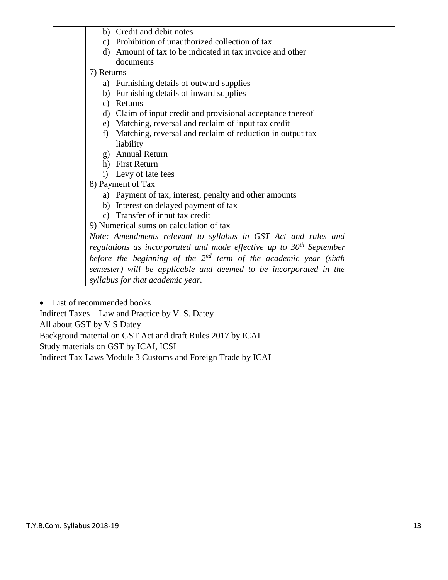|               | b) Credit and debit notes                                             |  |
|---------------|-----------------------------------------------------------------------|--|
| c)            | Prohibition of unauthorized collection of tax                         |  |
| d)            | Amount of tax to be indicated in tax invoice and other                |  |
|               | documents                                                             |  |
| 7) Returns    |                                                                       |  |
|               | a) Furnishing details of outward supplies                             |  |
| b)            | Furnishing details of inward supplies                                 |  |
| $\mathbf{c})$ | Returns                                                               |  |
| d)            | Claim of input credit and provisional acceptance thereof              |  |
|               | e) Matching, reversal and reclaim of input tax credit                 |  |
| f)            | Matching, reversal and reclaim of reduction in output tax             |  |
|               | liability                                                             |  |
|               | g) Annual Return                                                      |  |
|               | h) First Return                                                       |  |
|               | i) Levy of late fees                                                  |  |
|               | 8) Payment of Tax                                                     |  |
|               | a) Payment of tax, interest, penalty and other amounts                |  |
|               | b) Interest on delayed payment of tax                                 |  |
|               | c) Transfer of input tax credit                                       |  |
|               | 9) Numerical sums on calculation of tax                               |  |
|               | Note: Amendments relevant to syllabus in GST Act and rules and        |  |
|               | regulations as incorporated and made effective up to $30th$ September |  |
|               | before the beginning of the $2^{nd}$ term of the academic year (sixth |  |
|               | semester) will be applicable and deemed to be incorporated in the     |  |
|               | syllabus for that academic year.                                      |  |
|               |                                                                       |  |

List of recommended books

Indirect Taxes – Law and Practice by V. S. Datey All about GST by V S Datey Backgroud material on GST Act and draft Rules 2017 by ICAI Study materials on GST by ICAI, ICSI Indirect Tax Laws Module 3 Customs and Foreign Trade by ICAI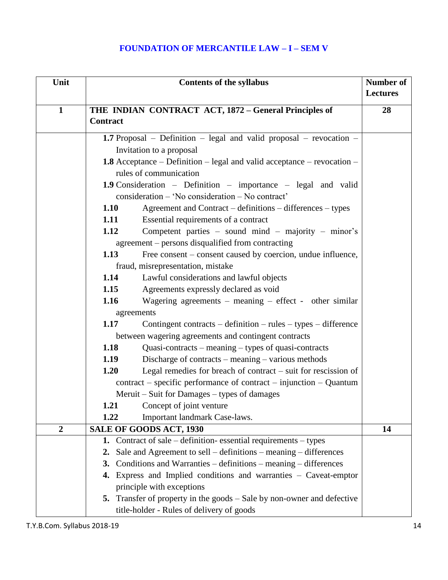# **FOUNDATION OF MERCANTILE LAW – I – SEM V**

| Unit           | <b>Contents of the syllabus</b>                                        |                                                                         | Number of<br><b>Lectures</b> |
|----------------|------------------------------------------------------------------------|-------------------------------------------------------------------------|------------------------------|
|                |                                                                        |                                                                         |                              |
| $\mathbf{1}$   |                                                                        | THE INDIAN CONTRACT ACT, 1872 - General Principles of                   | 28                           |
|                | Contract                                                               |                                                                         |                              |
|                |                                                                        | 1.7 Proposal - Definition - legal and valid proposal - revocation -     |                              |
|                |                                                                        | Invitation to a proposal                                                |                              |
|                |                                                                        | 1.8 Acceptance - Definition - legal and valid acceptance - revocation - |                              |
|                |                                                                        | rules of communication                                                  |                              |
|                |                                                                        | <b>1.9</b> Consideration – Definition – importance – legal and valid    |                              |
|                |                                                                        | consideration - 'No consideration - No contract'                        |                              |
|                | 1.10                                                                   | Agreement and Contract – definitions – differences – types              |                              |
|                | 1.11                                                                   | Essential requirements of a contract                                    |                              |
|                | 1.12                                                                   | Competent parties – sound mind – majority – minor's                     |                              |
|                |                                                                        | agreement – persons disqualified from contracting                       |                              |
|                | 1.13                                                                   | Free consent – consent caused by coercion, undue influence,             |                              |
|                |                                                                        | fraud, misrepresentation, mistake                                       |                              |
|                | 1.14                                                                   | Lawful considerations and lawful objects                                |                              |
|                | 1.15                                                                   | Agreements expressly declared as void                                   |                              |
|                | 1.16<br>Wagering agreements – meaning – effect - other similar         |                                                                         |                              |
|                | agreements                                                             |                                                                         |                              |
|                | 1.17<br>Contingent contracts – definition – rules – types – difference |                                                                         |                              |
|                | between wagering agreements and contingent contracts                   |                                                                         |                              |
|                | 1.18<br>Quasi-contracts – meaning – types of quasi-contracts           |                                                                         |                              |
|                | 1.19                                                                   | Discharge of contracts – meaning – various methods                      |                              |
|                | 1.20                                                                   | Legal remedies for breach of contract $-$ suit for rescission of        |                              |
|                |                                                                        | $contract - specific performance of contract - injection - Quantum$     |                              |
|                |                                                                        | Meruit – Suit for Damages – types of damages                            |                              |
|                | 1.21                                                                   | Concept of joint venture                                                |                              |
|                | 1.22                                                                   | Important landmark Case-laws.                                           |                              |
| $\overline{2}$ |                                                                        | SALE OF GOODS ACT, 1930                                                 | 14                           |
|                | 1.                                                                     | Contract of sale – definition-essential requirements – types            |                              |
|                | 2.                                                                     | Sale and Agreement to sell $-$ definitions $-$ meaning $-$ differences  |                              |
|                | 3.                                                                     | Conditions and Warranties – definitions – meaning – differences         |                              |
|                |                                                                        | 4. Express and Implied conditions and warranties - Caveat-emptor        |                              |
|                |                                                                        | principle with exceptions                                               |                              |
|                |                                                                        | 5. Transfer of property in the goods - Sale by non-owner and defective  |                              |
|                |                                                                        | title-holder - Rules of delivery of goods                               |                              |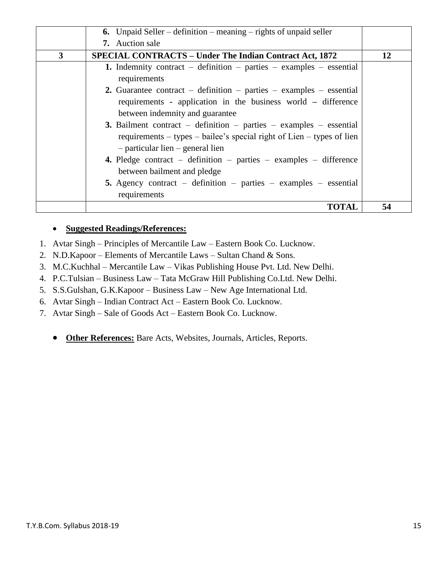|              | <b>6.</b> Unpaid Seller – definition – meaning – rights of unpaid seller                   |    |
|--------------|--------------------------------------------------------------------------------------------|----|
|              | <b>7.</b> Auction sale                                                                     |    |
| $\mathbf{3}$ | <b>SPECIAL CONTRACTS - Under The Indian Contract Act, 1872</b>                             | 12 |
|              | <b>1.</b> Indemnity contract – definition – parties – examples – essential<br>requirements |    |
|              | 2. Guarantee contract – definition – parties – examples – essential                        |    |
|              | requirements - application in the business world – difference                              |    |
|              | between indemnity and guarantee                                                            |    |
|              | <b>3.</b> Bailment contract – definition – parties – examples – essential                  |    |
|              | requirements – types – bailee's special right of Lien – types of lien                      |    |
|              | $-$ particular lien $-$ general lien                                                       |    |
|              | <b>4.</b> Pledge contract – definition – parties – examples – difference                   |    |
|              | between bailment and pledge                                                                |    |
|              | 5. Agency contract – definition – parties – examples – essential                           |    |
|              | requirements                                                                               |    |
|              | <b>TOTAL</b>                                                                               | 54 |

#### **Suggested Readings/References:**

- 1. Avtar Singh Principles of Mercantile Law Eastern Book Co. Lucknow.
- 2. N.D.Kapoor Elements of Mercantile Laws Sultan Chand & Sons.
- 3. M.C.Kuchhal Mercantile Law Vikas Publishing House Pvt. Ltd. New Delhi.
- 4. P.C.Tulsian Business Law Tata McGraw Hill Publishing Co.Ltd. New Delhi.
- 5. S.S.Gulshan, G.K.Kapoor Business Law New Age International Ltd.
- 6. Avtar Singh Indian Contract Act Eastern Book Co. Lucknow.
- 7. Avtar Singh Sale of Goods Act Eastern Book Co. Lucknow.
	- **Other References:** Bare Acts, Websites, Journals, Articles, Reports.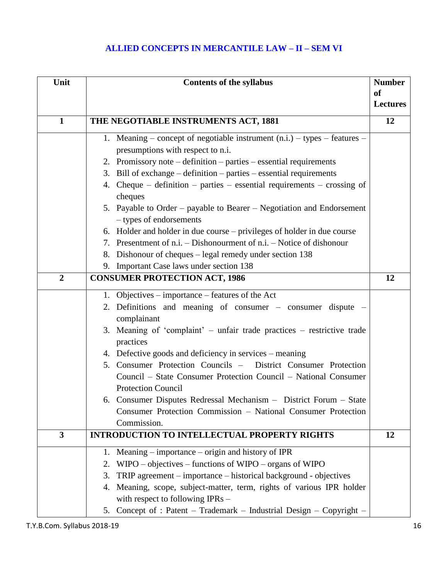# **ALLIED CONCEPTS IN MERCANTILE LAW – II – SEM VI**

| Unit                    | <b>Contents of the syllabus</b>                                                                          |                 |
|-------------------------|----------------------------------------------------------------------------------------------------------|-----------------|
|                         |                                                                                                          |                 |
|                         |                                                                                                          | <b>Lectures</b> |
| $\mathbf{1}$            | THE NEGOTIABLE INSTRUMENTS ACT, 1881                                                                     | 12              |
|                         | 1. Meaning – concept of negotiable instrument $(n.i.) - types - features -$                              |                 |
|                         | presumptions with respect to n.i.                                                                        |                 |
|                         | 2. Promissory note $-$ definition $-$ parties $-$ essential requirements                                 |                 |
|                         | 3. Bill of exchange – definition – parties – essential requirements                                      |                 |
|                         | 4. Cheque – definition – parties – essential requirements – crossing of<br>cheques                       |                 |
|                         | 5. Payable to Order – payable to Bearer – Negotiation and Endorsement                                    |                 |
|                         | - types of endorsements                                                                                  |                 |
|                         | 6. Holder and holder in due course – privileges of holder in due course                                  |                 |
|                         | 7. Presentment of n.i. – Dishonourment of n.i. – Notice of dishonour                                     |                 |
|                         | Dishonour of cheques – legal remedy under section 138<br>8.                                              |                 |
|                         | 9. Important Case laws under section 138                                                                 |                 |
| $\overline{2}$          | <b>CONSUMER PROTECTION ACT, 1986</b>                                                                     | 12              |
|                         | 1. Objectives – importance – features of the Act                                                         |                 |
|                         | Definitions and meaning of consumer – consumer dispute –<br>2.                                           |                 |
|                         | complainant                                                                                              |                 |
|                         | 3. Meaning of 'complaint' – unfair trade practices – restrictive trade                                   |                 |
|                         | practices                                                                                                |                 |
|                         | 4. Defective goods and deficiency in services – meaning                                                  |                 |
|                         | 5. Consumer Protection Councils –<br>District Consumer Protection                                        |                 |
|                         | Council – State Consumer Protection Council – National Consumer                                          |                 |
|                         | <b>Protection Council</b>                                                                                |                 |
|                         | 6. Consumer Disputes Redressal Mechanism - District Forum - State                                        |                 |
|                         | Consumer Protection Commission - National Consumer Protection                                            |                 |
|                         | Commission.                                                                                              |                 |
| $\overline{\mathbf{3}}$ | <b>INTRODUCTION TO INTELLECTUAL PROPERTY RIGHTS</b>                                                      | 12              |
|                         | Meaning $-$ importance $-$ origin and history of IPR<br>1.                                               |                 |
|                         | $W \text{IPO}-\text{objective} - \text{functions of W \text{IPO}} - \text{organs of W \text{IPO}}$<br>2. |                 |
|                         | TRIP agreement – importance – historical background - objectives<br>3.                                   |                 |
|                         | Meaning, scope, subject-matter, term, rights of various IPR holder<br>4.                                 |                 |
|                         | with respect to following $IPRs -$                                                                       |                 |
|                         | 5. Concept of : Patent - Trademark - Industrial Design - Copyright -                                     |                 |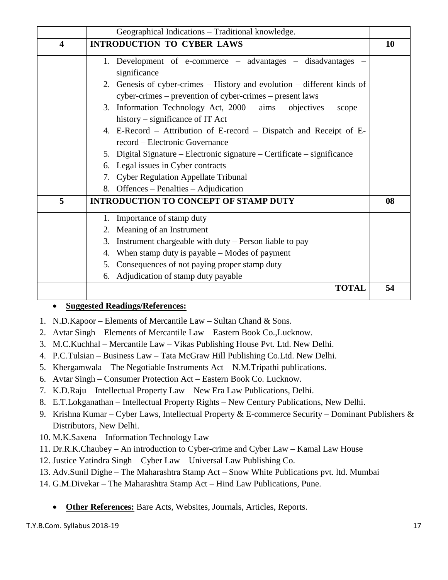|                         | Geographical Indications - Traditional knowledge.                        |           |
|-------------------------|--------------------------------------------------------------------------|-----------|
| $\overline{\mathbf{4}}$ | <b>INTRODUCTION TO CYBER LAWS</b>                                        | <b>10</b> |
|                         | 1. Development of e-commerce – advantages – disadvantages                |           |
|                         | significance                                                             |           |
|                         | 2. Genesis of cyber-crimes – History and evolution – different kinds of  |           |
|                         | cyber-crimes – prevention of cyber-crimes – present laws                 |           |
|                         | 3. Information Technology Act, $2000 - aims - objectives - scope -$      |           |
|                         | history $-$ significance of IT Act                                       |           |
|                         | 4. E-Record – Attribution of E-record – Dispatch and Receipt of E-       |           |
|                         | record – Electronic Governance                                           |           |
|                         | 5. Digital Signature – Electronic signature – Certificate – significance |           |
|                         | 6. Legal issues in Cyber contracts                                       |           |
|                         | 7. Cyber Regulation Appellate Tribunal                                   |           |
|                         | 8. Offences – Penalties – Adjudication                                   |           |
| 5                       | <b>INTRODUCTION TO CONCEPT OF STAMP DUTY</b>                             | 08        |
|                         | 1. Importance of stamp duty                                              |           |
|                         | 2. Meaning of an Instrument                                              |           |
|                         | Instrument chargeable with duty – Person liable to pay<br>3.             |           |
|                         | When stamp duty is payable – Modes of payment<br>4.                      |           |
|                         | 5. Consequences of not paying proper stamp duty                          |           |
|                         | Adjudication of stamp duty payable<br>6.                                 |           |
|                         | <b>TOTAL</b>                                                             | 54        |

### **Suggested Readings/References:**

- 1. N.D.Kapoor Elements of Mercantile Law Sultan Chand & Sons.
- 2. Avtar Singh Elements of Mercantile Law Eastern Book Co.,Lucknow.
- 3. M.C.Kuchhal Mercantile Law Vikas Publishing House Pvt. Ltd. New Delhi.
- 4. P.C.Tulsian Business Law Tata McGraw Hill Publishing Co.Ltd. New Delhi.
- 5. Khergamwala The Negotiable Instruments Act N.M.Tripathi publications.
- 6. Avtar Singh Consumer Protection Act Eastern Book Co. Lucknow.
- 7. K.D.Raju Intellectual Property Law New Era Law Publications, Delhi.
- 8. E.T.Lokganathan Intellectual Property Rights New Century Publications, New Delhi.
- 9. Krishna Kumar Cyber Laws, Intellectual Property & E-commerce Security Dominant Publishers & Distributors, New Delhi.
- 10. M.K.Saxena Information Technology Law
- 11. Dr.R.K.Chaubey An introduction to Cyber-crime and Cyber Law Kamal Law House
- 12. Justice Yatindra Singh Cyber Law Universal Law Publishing Co.
- 13. Adv.Sunil Dighe The Maharashtra Stamp Act Snow White Publications pvt. ltd. Mumbai
- 14. G.M.Divekar The Maharashtra Stamp Act Hind Law Publications, Pune.
	- **Other References:** Bare Acts, Websites, Journals, Articles, Reports.

T.Y.B.Com. Syllabus 2018-19 17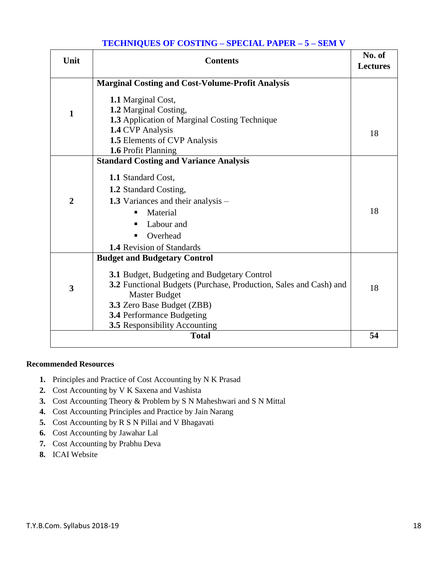### **TECHNIQUES OF COSTING – SPECIAL PAPER – 5 – SEM V**

| Unit                    | <b>Contents</b>                                                                                                                                                                                                                                                                           | No. of<br><b>Lectures</b> |
|-------------------------|-------------------------------------------------------------------------------------------------------------------------------------------------------------------------------------------------------------------------------------------------------------------------------------------|---------------------------|
|                         | <b>Marginal Costing and Cost-Volume-Profit Analysis</b>                                                                                                                                                                                                                                   |                           |
| $\mathbf{1}$            | 1.1 Marginal Cost,<br>1.2 Marginal Costing,<br>1.3 Application of Marginal Costing Technique<br>1.4 CVP Analysis                                                                                                                                                                          |                           |
|                         | 1.5 Elements of CVP Analysis                                                                                                                                                                                                                                                              | 18                        |
|                         | 1.6 Profit Planning                                                                                                                                                                                                                                                                       |                           |
| $\overline{2}$          | <b>Standard Costing and Variance Analysis</b><br>1.1 Standard Cost,<br>1.2 Standard Costing,<br><b>1.3</b> Variances and their analysis –<br>Material<br>п<br>Labour and<br>Overhead<br>٠<br><b>1.4</b> Revision of Standards                                                             | 18                        |
| $\overline{\mathbf{3}}$ | <b>Budget and Budgetary Control</b><br><b>3.1 Budget, Budgeting and Budgetary Control</b><br>3.2 Functional Budgets (Purchase, Production, Sales and Cash) and<br><b>Master Budget</b><br>3.3 Zero Base Budget (ZBB)<br>3.4 Performance Budgeting<br><b>3.5</b> Responsibility Accounting | 18                        |
|                         | <b>Total</b>                                                                                                                                                                                                                                                                              | 54                        |

#### **Recommended Resources**

- **1.** Principles and Practice of Cost Accounting by N K Prasad
- **2.** Cost Accounting by V K Saxena and Vashista
- **3.** Cost Accounting Theory & Problem by S N Maheshwari and S N Mittal
- **4.** Cost Accounting Principles and Practice by Jain Narang
- **5.** Cost Accounting by R S N Pillai and V Bhagavati
- **6.** Cost Accounting by Jawahar Lal
- **7.** Cost Accounting by Prabhu Deva
- **8.** ICAI Website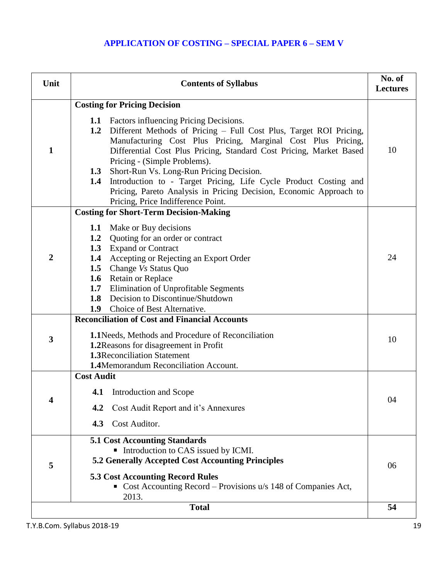# **APPLICATION OF COSTING – SPECIAL PAPER 6 – SEM V**

| Unit         | <b>Contents of Syllabus</b>                                                                                                                                                                                                                                                                                                                                                                                                                                                                                                                  |    |
|--------------|----------------------------------------------------------------------------------------------------------------------------------------------------------------------------------------------------------------------------------------------------------------------------------------------------------------------------------------------------------------------------------------------------------------------------------------------------------------------------------------------------------------------------------------------|----|
|              | <b>Costing for Pricing Decision</b>                                                                                                                                                                                                                                                                                                                                                                                                                                                                                                          |    |
| $\mathbf{1}$ | <b>1.1</b> Factors influencing Pricing Decisions.<br>1.2 Different Methods of Pricing - Full Cost Plus, Target ROI Pricing,<br>Manufacturing Cost Plus Pricing, Marginal Cost Plus Pricing,<br>Differential Cost Plus Pricing, Standard Cost Pricing, Market Based<br>Pricing - (Simple Problems).<br>Short-Run Vs. Long-Run Pricing Decision.<br>1.3<br>Introduction to - Target Pricing, Life Cycle Product Costing and<br>1.4<br>Pricing, Pareto Analysis in Pricing Decision, Economic Approach to<br>Pricing, Price Indifference Point. | 10 |
|              | <b>Costing for Short-Term Decision-Making</b>                                                                                                                                                                                                                                                                                                                                                                                                                                                                                                |    |
| 2            | Make or Buy decisions<br>1.1<br><b>1.2</b> Quoting for an order or contract<br>1.3 Expand or Contract<br>Accepting or Rejecting an Export Order<br>1.4<br>1.5 Change Vs Status Quo<br>1.6 Retain or Replace<br>Elimination of Unprofitable Segments<br>1.7<br>Decision to Discontinue/Shutdown<br>1.8<br>1.9<br>Choice of Best Alternative.                                                                                                                                                                                                  | 24 |
| 3            | <b>Reconciliation of Cost and Financial Accounts</b><br>1.1 Needs, Methods and Procedure of Reconciliation<br>1.2 Reasons for disagreement in Profit<br><b>1.3</b> Reconciliation Statement<br>1.4Memorandum Reconciliation Account.                                                                                                                                                                                                                                                                                                         | 10 |
|              | <b>Cost Audit</b><br>Introduction and Scope<br>4.1<br>Cost Audit Report and it's Annexures<br>4.2<br>Cost Auditor.<br>4.3                                                                                                                                                                                                                                                                                                                                                                                                                    | 04 |
| 5            | <b>5.1 Cost Accounting Standards</b><br>Introduction to CAS issued by ICMI.<br>5.2 Generally Accepted Cost Accounting Principles<br><b>5.3 Cost Accounting Record Rules</b><br>Cost Accounting Record – Provisions $u/s$ 148 of Companies Act,<br>2013.                                                                                                                                                                                                                                                                                      | 06 |
|              | <b>Total</b>                                                                                                                                                                                                                                                                                                                                                                                                                                                                                                                                 | 54 |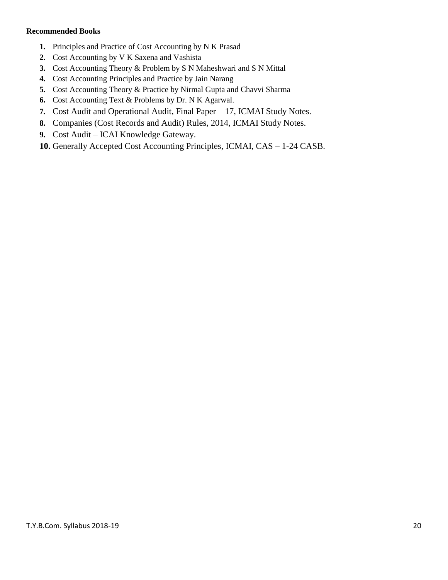#### **Recommended Books**

- **1.** Principles and Practice of Cost Accounting by N K Prasad
- **2.** Cost Accounting by V K Saxena and Vashista
- **3.** Cost Accounting Theory & Problem by S N Maheshwari and S N Mittal
- **4.** Cost Accounting Principles and Practice by Jain Narang
- **5.** Cost Accounting Theory & Practice by Nirmal Gupta and Chavvi Sharma
- **6.** Cost Accounting Text & Problems by Dr. N K Agarwal.
- **7.** Cost Audit and Operational Audit, Final Paper 17, ICMAI Study Notes.
- **8.** Companies (Cost Records and Audit) Rules, 2014, ICMAI Study Notes.
- **9.** Cost Audit ICAI Knowledge Gateway.
- **10.** Generally Accepted Cost Accounting Principles, ICMAI, CAS 1-24 CASB.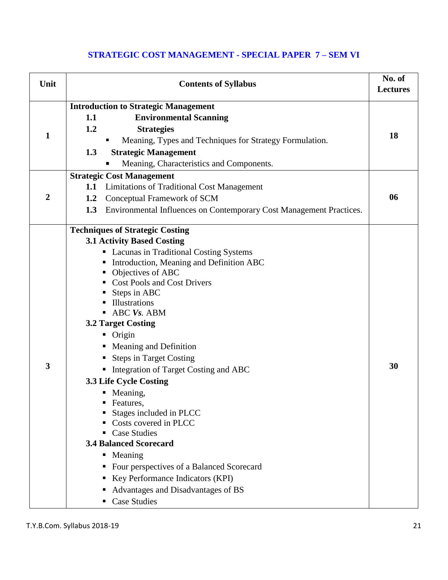# **STRATEGIC COST MANAGEMENT - SPECIAL PAPER 7 – SEM VI**

| Unit<br><b>Contents of Syllabus</b>                                        | No. of<br><b>Lectures</b> |
|----------------------------------------------------------------------------|---------------------------|
| <b>Introduction to Strategic Management</b>                                |                           |
| <b>Environmental Scanning</b><br>1.1                                       |                           |
| 1.2<br><b>Strategies</b>                                                   |                           |
| 1<br>Meaning, Types and Techniques for Strategy Formulation.               | 18                        |
| 1.3<br><b>Strategic Management</b>                                         |                           |
| Meaning, Characteristics and Components.                                   |                           |
| <b>Strategic Cost Management</b>                                           |                           |
| <b>Limitations of Traditional Cost Management</b><br>1.1                   |                           |
| $\boldsymbol{2}$<br>Conceptual Framework of SCM<br>1.2                     | 06                        |
| 1.3<br>Environmental Influences on Contemporary Cost Management Practices. |                           |
| <b>Techniques of Strategic Costing</b>                                     |                           |
| <b>3.1 Activity Based Costing</b>                                          |                           |
| • Lacunas in Traditional Costing Systems                                   |                           |
| Introduction, Meaning and Definition ABC                                   |                           |
| Objectives of ABC<br><b>Cost Pools and Cost Drivers</b>                    |                           |
| Steps in ABC                                                               |                           |
| Illustrations                                                              |                           |
| ABC Vs. ABM                                                                |                           |
| <b>3.2 Target Costing</b>                                                  |                           |
| • Origin                                                                   |                           |
| • Meaning and Definition                                                   |                           |
| <b>Steps in Target Costing</b>                                             |                           |
| $\mathbf{3}$<br>Integration of Target Costing and ABC                      | 30                        |
| 3.3 Life Cycle Costing                                                     |                           |
| • Meaning,                                                                 |                           |
| Features,                                                                  |                           |
| Stages included in PLCC                                                    |                           |
| Costs covered in PLCC                                                      |                           |
| <b>Case Studies</b><br><b>3.4 Balanced Scorecard</b>                       |                           |
| • Meaning                                                                  |                           |
| Four perspectives of a Balanced Scorecard                                  |                           |
| Key Performance Indicators (KPI)                                           |                           |
| Advantages and Disadvantages of BS                                         |                           |
| <b>Case Studies</b>                                                        |                           |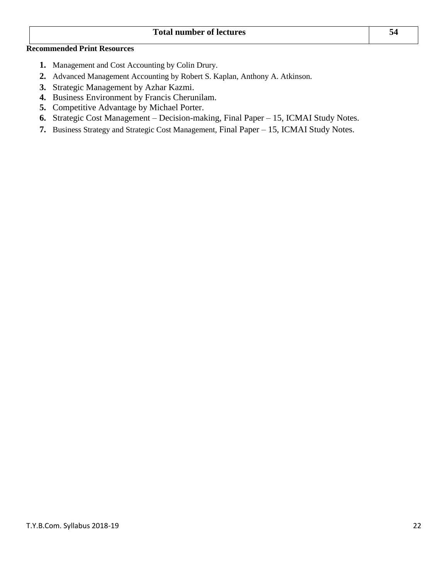#### **Total number of lectures 54**

### **Recommended Print Resources**

- **1.** Management and Cost Accounting by Colin Drury.
- **2.** Advanced Management Accounting by Robert S. Kaplan, Anthony A. Atkinson.
- **3.** Strategic Management by Azhar Kazmi.
- **4.** Business Environment by Francis Cherunilam.
- **5.** Competitive Advantage by Michael Porter.
- **6.** Strategic Cost Management Decision-making, Final Paper 15, ICMAI Study Notes.
- **7.** Business Strategy and Strategic Cost Management, Final Paper 15, ICMAI Study Notes.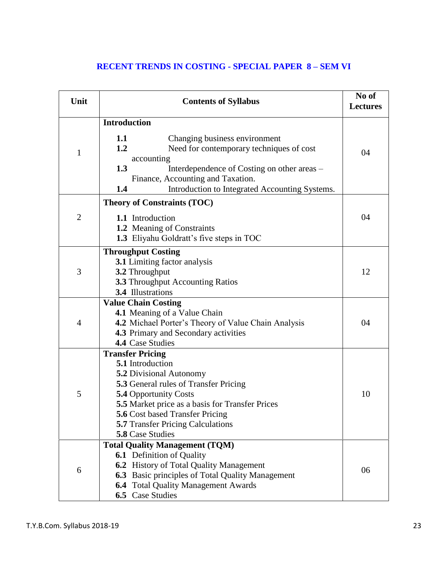# **RECENT TRENDS IN COSTING - SPECIAL PAPER 8 – SEM VI**

| Unit           | <b>Contents of Syllabus</b>                                                                                                                                                                                                                                                                                         | No of<br><b>Lectures</b> |
|----------------|---------------------------------------------------------------------------------------------------------------------------------------------------------------------------------------------------------------------------------------------------------------------------------------------------------------------|--------------------------|
|                | <b>Introduction</b>                                                                                                                                                                                                                                                                                                 |                          |
| $\mathbf{1}$   | 1.1<br>Changing business environment<br>1.2<br>Need for contemporary techniques of cost<br>accounting<br>1.3<br>Interdependence of Costing on other areas –<br>Finance, Accounting and Taxation.<br>1.4<br>Introduction to Integrated Accounting Systems.                                                           | 04                       |
|                | <b>Theory of Constraints (TOC)</b>                                                                                                                                                                                                                                                                                  |                          |
| $\overline{2}$ | 1.1 Introduction<br>1.2 Meaning of Constraints<br>1.3 Eliyahu Goldratt's five steps in TOC                                                                                                                                                                                                                          | 04                       |
| 3              | <b>Throughput Costing</b><br><b>3.1</b> Limiting factor analysis<br>3.2 Throughput<br><b>3.3 Throughput Accounting Ratios</b><br>3.4 Illustrations                                                                                                                                                                  | 12                       |
| $\overline{4}$ | <b>Value Chain Costing</b><br>4.1 Meaning of a Value Chain<br>4.2 Michael Porter's Theory of Value Chain Analysis<br>4.3 Primary and Secondary activities<br>4.4 Case Studies                                                                                                                                       | 04                       |
| 5              | <b>Transfer Pricing</b><br>5.1 Introduction<br><b>5.2 Divisional Autonomy</b><br><b>5.3</b> General rules of Transfer Pricing<br><b>5.4 Opportunity Costs</b><br>5.5 Market price as a basis for Transfer Prices<br>5.6 Cost based Transfer Pricing<br><b>5.7 Transfer Pricing Calculations</b><br>5.8 Case Studies | 10                       |
| 6              | <b>Total Quality Management (TQM)</b><br><b>6.1</b> Definition of Quality<br><b>6.2</b> History of Total Quality Management<br>6.3 Basic principles of Total Quality Management<br><b>6.4</b> Total Quality Management Awards<br>6.5 Case Studies                                                                   | 06                       |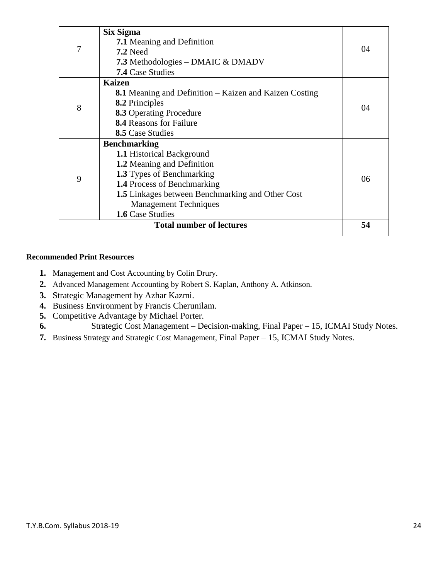|   | Six Sigma                                                     |    |
|---|---------------------------------------------------------------|----|
|   | <b>7.1</b> Meaning and Definition                             |    |
| 7 | <b>7.2 Need</b>                                               | 04 |
|   | <b>7.3</b> Methodologies – DMAIC & DMADV                      |    |
|   | <b>7.4 Case Studies</b>                                       |    |
|   | <b>Kaizen</b>                                                 |    |
|   | <b>8.1</b> Meaning and Definition – Kaizen and Kaizen Costing |    |
| 8 | <b>8.2</b> Principles                                         |    |
|   | <b>8.3 Operating Procedure</b>                                | 04 |
|   | <b>8.4 Reasons for Failure</b>                                |    |
|   | <b>8.5</b> Case Studies                                       |    |
|   | <b>Benchmarking</b>                                           |    |
|   | <b>1.1 Historical Background</b>                              |    |
|   | 1.2 Meaning and Definition                                    |    |
| 9 | <b>1.3</b> Types of Benchmarking                              | 06 |
|   | <b>1.4 Process of Benchmarking</b>                            |    |
|   | 1.5 Linkages between Benchmarking and Other Cost              |    |
|   | <b>Management Techniques</b>                                  |    |
|   | 1.6 Case Studies                                              |    |
|   | <b>Total number of lectures</b>                               | 54 |
|   |                                                               |    |

#### **Recommended Print Resources**

- **1.** Management and Cost Accounting by Colin Drury.
- **2.** Advanced Management Accounting by Robert S. Kaplan, Anthony A. Atkinson.
- **3.** Strategic Management by Azhar Kazmi.
- **4.** Business Environment by Francis Cherunilam.
- **5.** Competitive Advantage by Michael Porter.
- **6.** Strategic Cost Management Decision-making, Final Paper 15, ICMAI Study Notes.
- **7.** Business Strategy and Strategic Cost Management, Final Paper 15, ICMAI Study Notes.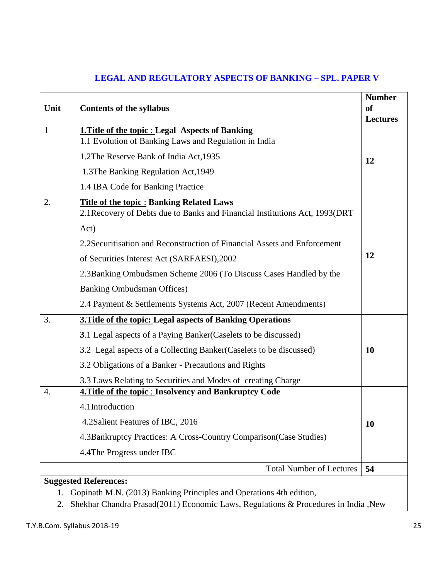|              |                                                                                                                                  | <b>Number</b>   |
|--------------|----------------------------------------------------------------------------------------------------------------------------------|-----------------|
| Unit         | <b>Contents of the syllabus</b>                                                                                                  | <sub>of</sub>   |
|              |                                                                                                                                  | <b>Lectures</b> |
| $\mathbf{1}$ | <b>1. Title of the topic : Legal Aspects of Banking</b>                                                                          |                 |
|              | 1.1 Evolution of Banking Laws and Regulation in India                                                                            |                 |
|              | 1.2The Reserve Bank of India Act, 1935                                                                                           | 12              |
|              | 1.3The Banking Regulation Act, 1949                                                                                              |                 |
|              | 1.4 IBA Code for Banking Practice                                                                                                |                 |
| 2.           | <b>Title of the topic: Banking Related Laws</b><br>2.1 Recovery of Debts due to Banks and Financial Institutions Act, 1993 (DRT) |                 |
|              | Act)                                                                                                                             |                 |
|              | 2.2 Securitisation and Reconstruction of Financial Assets and Enforcement                                                        |                 |
|              | of Securities Interest Act (SARFAESI), 2002                                                                                      | 12              |
|              | 2.3Banking Ombudsmen Scheme 2006 (To Discuss Cases Handled by the                                                                |                 |
|              | <b>Banking Ombudsman Offices</b> )                                                                                               |                 |
|              | 2.4 Payment & Settlements Systems Act, 2007 (Recent Amendments)                                                                  |                 |
| 3.           | 3. Title of the topic: Legal aspects of Banking Operations                                                                       |                 |
|              | 3.1 Legal aspects of a Paying Banker (Caselets to be discussed)                                                                  |                 |
|              | 3.2 Legal aspects of a Collecting Banker (Caselets to be discussed)                                                              | <b>10</b>       |
|              | 3.2 Obligations of a Banker - Precautions and Rights                                                                             |                 |
|              | 3.3 Laws Relating to Securities and Modes of creating Charge                                                                     |                 |
| 4.           | <b>4. Title of the topic : Insolvency and Bankruptcy Code</b>                                                                    |                 |
|              | 4.1Introduction                                                                                                                  |                 |
|              | 4.2Salient Features of IBC, 2016                                                                                                 | <b>10</b>       |
|              | 4.3Bankruptcy Practices: A Cross-Country Comparison (Case Studies)                                                               |                 |
|              | 4.4The Progress under IBC                                                                                                        |                 |
|              | <b>Total Number of Lectures</b>                                                                                                  | 54              |
|              | <b>Suggested References:</b><br>Copingth M.N. (2012) Benking Drippinles and Operations 4th edition                               |                 |

## **LEGAL AND REGULATORY ASPECTS OF BANKING – SPL. PAPER V**

1. Gopinath M.N. (2013) Banking Principles and Operations 4th edition,

2. Shekhar Chandra Prasad(2011) Economic Laws, Regulations & Procedures in India ,New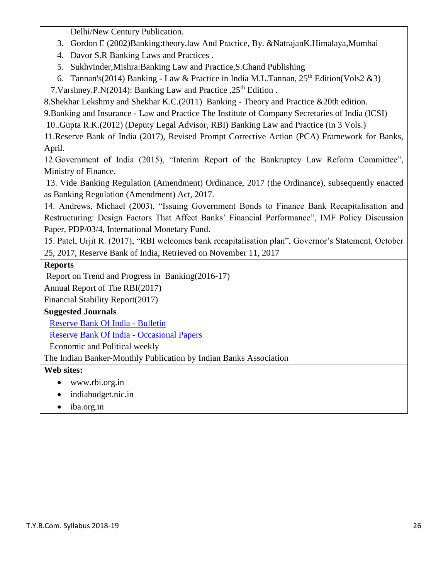Delhi/New Century Publication.

- 3. Gordon E (2002)Banking:theory,law And Practice, By. &NatrajanK.Himalaya,Mumbai
- 4. Davor S.R Banking Laws and Practices .
- 5. Sukhvinder,Mishra:Banking Law and Practice,S.Chand Publishing
- 6. Tannan's(2014) Banking Law & Practice in India M.L.Tannan,  $25<sup>th</sup>$  Edition(Vols2 &3)

7. Varshney. P.N(2014): Banking Law and Practice ,  $25<sup>th</sup>$  Edition.

8.Shekhar Lekshmy and Shekhar K.C.(2011) Banking - Theory and Practice &20th edition.

9.Banking and Insurance - Law and Practice The Institute of Company Secretaries of India (ICSI)

10..Gupta R.K.(2012) (Deputy Legal Advisor, RBI) Banking Law and Practice (in 3 Vols.)

11.Reserve Bank of India (2017), Revised Prompt Corrective Action (PCA) Framework for Banks, April.

12.Government of India (2015), "Interim Report of the Bankruptcy Law Reform Committee", Ministry of Finance.

13. Vide Banking Regulation (Amendment) Ordinance, 2017 (the Ordinance), subsequently enacted as Banking Regulation (Amendment) Act, 2017.

14. Andrews, Michael (2003), "Issuing Government Bonds to Finance Bank Recapitalisation and Restructuring: Design Factors That Affect Banks' Financial Performance", IMF Policy Discussion Paper, PDP/03/4, International Monetary Fund.

15. Patel, Urjit R. (2017), "RBI welcomes bank recapitalisation plan", Governor's Statement, October 25, 2017, Reserve Bank of India, Retrieved on November 11, 2017

# **Reports**

Report on Trend and Progress in Banking(2016-17)

Annual Report of The RBI(2017)

Financial Stability Report(2017)

# **Suggested Journals**

[Reserve Bank Of India -](http://www.rbi.org.in/scripts/BS_ViewBulletin.aspx) Bulletin

[Reserve Bank Of India -](http://www.rbi.org.in/scripts/QuarterlyPublications.aspx?head=Occasional%20Papers) Occasional Papers

Economic and Political weekly

The Indian Banker-Monthly Publication by Indian Banks Association

# **Web sites:**

- www.rbi.org.in
- indiabudget.nic.in
- iba.org.in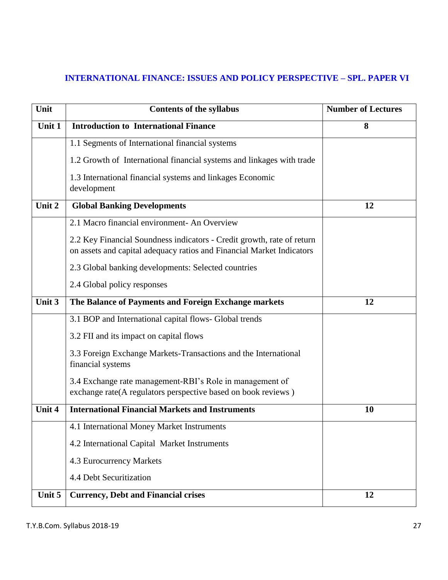# **INTERNATIONAL FINANCE: ISSUES AND POLICY PERSPECTIVE – SPL. PAPER VI**

| Unit   | <b>Contents of the syllabus</b>                                                                                                                 | <b>Number of Lectures</b> |
|--------|-------------------------------------------------------------------------------------------------------------------------------------------------|---------------------------|
| Unit 1 | <b>Introduction to International Finance</b>                                                                                                    | 8                         |
|        | 1.1 Segments of International financial systems                                                                                                 |                           |
|        | 1.2 Growth of International financial systems and linkages with trade                                                                           |                           |
|        | 1.3 International financial systems and linkages Economic<br>development                                                                        |                           |
| Unit 2 | <b>Global Banking Developments</b>                                                                                                              | 12                        |
|        | 2.1 Macro financial environment- An Overview                                                                                                    |                           |
|        | 2.2 Key Financial Soundness indicators - Credit growth, rate of return<br>on assets and capital adequacy ratios and Financial Market Indicators |                           |
|        | 2.3 Global banking developments: Selected countries                                                                                             |                           |
|        | 2.4 Global policy responses                                                                                                                     |                           |
| Unit 3 | The Balance of Payments and Foreign Exchange markets                                                                                            | 12                        |
|        | 3.1 BOP and International capital flows- Global trends                                                                                          |                           |
|        | 3.2 FII and its impact on capital flows                                                                                                         |                           |
|        | 3.3 Foreign Exchange Markets-Transactions and the International<br>financial systems                                                            |                           |
|        | 3.4 Exchange rate management-RBI's Role in management of<br>exchange rate(A regulators perspective based on book reviews)                       |                           |
| Unit 4 | <b>International Financial Markets and Instruments</b>                                                                                          | <b>10</b>                 |
|        | 4.1 International Money Market Instruments                                                                                                      |                           |
|        | 4.2 International Capital Market Instruments                                                                                                    |                           |
|        | 4.3 Eurocurrency Markets                                                                                                                        |                           |
|        | 4.4 Debt Securitization                                                                                                                         |                           |
| Unit 5 | <b>Currency, Debt and Financial crises</b>                                                                                                      | 12                        |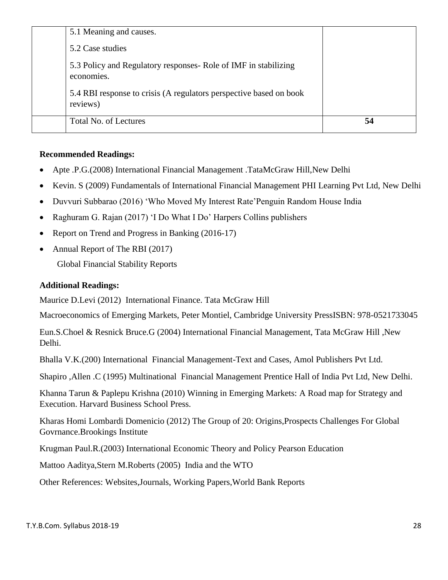| 5.1 Meaning and causes.                                                        |    |
|--------------------------------------------------------------------------------|----|
| 5.2 Case studies                                                               |    |
| 5.3 Policy and Regulatory responses- Role of IMF in stabilizing<br>economies.  |    |
| 5.4 RBI response to crisis (A regulators perspective based on book<br>reviews) |    |
| Total No. of Lectures                                                          | 54 |

### **Recommended Readings:**

- Apte .P.G.(2008) International Financial Management .TataMcGraw Hill,New Delhi
- Kevin. S (2009) Fundamentals of International Financial Management PHI Learning Pvt Ltd, New Delhi
- Duvvuri Subbarao (2016) 'Who Moved My Interest Rate'Penguin Random House India
- Raghuram G. Rajan (2017) 'I Do What I Do' Harpers Collins publishers
- Report on Trend and Progress in Banking (2016-17)
- Annual Report of The RBI (2017)

Global Financial Stability Reports

### **Additional Readings:**

Maurice D.Levi (2012) International Finance. Tata McGraw Hill

Macroeconomics of Emerging Markets, Peter Montiel, Cambridge University PressISBN: 978-0521733045

Eun.S.Choel & Resnick Bruce.G (2004) International Financial Management, Tata McGraw Hill ,New Delhi.

Bhalla V.K.(200) International Financial Management-Text and Cases, Amol Publishers Pvt Ltd.

Shapiro ,Allen .C (1995) Multinational Financial Management Prentice Hall of India Pvt Ltd, New Delhi.

Khanna Tarun & Paplepu Krishna (2010) Winning in Emerging Markets: A Road map for Strategy and Execution. Harvard Business School Press.

Kharas Homi Lombardi Domenicio (2012) The Group of 20: Origins,Prospects Challenges For Global Govrnance.Brookings Institute

Krugman Paul.R.(2003) International Economic Theory and Policy Pearson Education

Mattoo Aaditya,Stern M.Roberts (2005) India and the WTO

Other References: Websites,Journals, Working Papers,World Bank Reports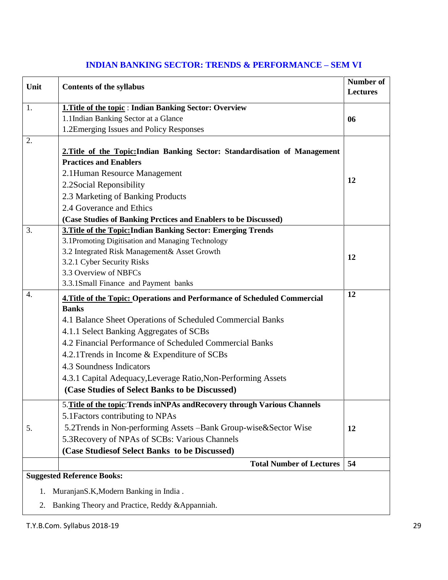| Unit                                        | <b>Contents of the syllabus</b>                                                                                                               | <b>Number of</b><br><b>Lectures</b> |
|---------------------------------------------|-----------------------------------------------------------------------------------------------------------------------------------------------|-------------------------------------|
| 1.                                          | 1. Title of the topic: Indian Banking Sector: Overview                                                                                        |                                     |
|                                             | 1.1Indian Banking Sector at a Glance                                                                                                          | 06                                  |
|                                             | 1.2Emerging Issues and Policy Responses                                                                                                       |                                     |
| 2.                                          | 2. Title of the Topic: Indian Banking Sector: Standardisation of Management<br><b>Practices and Enablers</b><br>2.1 Human Resource Management |                                     |
|                                             | 2.2Social Reponsibility                                                                                                                       | 12                                  |
|                                             | 2.3 Marketing of Banking Products                                                                                                             |                                     |
|                                             | 2.4 Goverance and Ethics                                                                                                                      |                                     |
|                                             | (Case Studies of Banking Prctices and Enablers to be Discussed)                                                                               |                                     |
| 3.                                          | 3. Title of the Topic: Indian Banking Sector: Emerging Trends                                                                                 |                                     |
|                                             | 3.1Promoting Digitisation and Managing Technology                                                                                             |                                     |
|                                             | 3.2 Integrated Risk Management& Asset Growth                                                                                                  | 12                                  |
|                                             | 3.2.1 Cyber Security Risks                                                                                                                    |                                     |
|                                             | 3.3 Overview of NBFCs                                                                                                                         |                                     |
|                                             | 3.3.1Small Finance and Payment banks                                                                                                          |                                     |
| $\overline{4}$ .                            | 4. Title of the Topic: Operations and Performance of Scheduled Commercial<br><b>Banks</b>                                                     | 12                                  |
|                                             | 4.1 Balance Sheet Operations of Scheduled Commercial Banks                                                                                    |                                     |
|                                             | 4.1.1 Select Banking Aggregates of SCBs                                                                                                       |                                     |
|                                             | 4.2 Financial Performance of Scheduled Commercial Banks                                                                                       |                                     |
|                                             | 4.2.1 Trends in Income & Expenditure of SCBs                                                                                                  |                                     |
|                                             | 4.3 Soundness Indicators                                                                                                                      |                                     |
|                                             | 4.3.1 Capital Adequacy, Leverage Ratio, Non-Performing Assets                                                                                 |                                     |
|                                             | (Case Studies of Select Banks to be Discussed)                                                                                                |                                     |
|                                             | 5. Title of the topic: Trends inNPAs and Recovery through Various Channels                                                                    |                                     |
|                                             | 5.1 Factors contributing to NPAs                                                                                                              |                                     |
| 5.                                          | 5.2Trends in Non-performing Assets - Bank Group-wise & Sector Wise                                                                            | 12                                  |
|                                             | 5.3 Recovery of NPAs of SCBs: Various Channels                                                                                                |                                     |
|                                             | (Case Studies of Select Banks to be Discussed)                                                                                                |                                     |
|                                             | <b>Total Number of Lectures</b>                                                                                                               | 54                                  |
|                                             | <b>Suggested Reference Books:</b>                                                                                                             |                                     |
| MuranjanS.K, Modern Banking in India.<br>1. |                                                                                                                                               |                                     |
| 2.                                          | Banking Theory and Practice, Reddy & Appanniah.                                                                                               |                                     |

### **INDIAN BANKING SECTOR: TRENDS & PERFORMANCE – SEM VI**

T.Y.B.Com. Syllabus 2018-19 29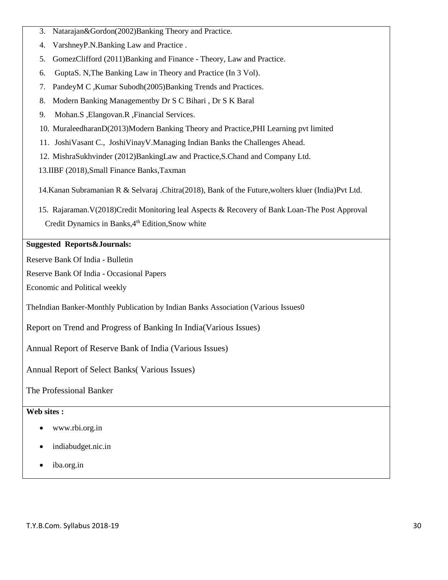- 3. Natarajan&Gordon(2002)Banking Theory and Practice.
- 4. VarshneyP.N.Banking Law and Practice .
- 5. GomezClifford (2011)Banking and Finance Theory, Law and Practice.
- 6. [GuptaS](http://www.jainbookdepot.com/servlet/jbdispinfo?offset=0&searchtype=Author&text1=S%20N%20Gupta). N[,The Banking Law in Theory and Practice \(In 3 Vol\).](http://www.jainbookdepot.com/servlet/jbgetbiblio?bno=004127)
- 7. [PandeyM](http://www.jainbookdepot.com/servlet/jbdispinfo?offset=0&searchtype=Author&text1=M%20C%20Pandey) C ,Kumar [Subodh\(2005\)Banking Trends and Practices.](http://www.jainbookdepot.com/servlet/jbdispinfo?offset=0&searchtype=Author&text1=Subodh%20Kumar)
- 8. [Modern Banking Managementb](http://www.jainbookdepot.com/servlet/jbgetbiblio?bno=012980)y [Dr S C Bihari](http://www.jainbookdepot.com/servlet/jbdispinfo?offset=0&searchtype=Author&text1=Dr%20S%20C%20Bihari) , [Dr S K Baral](http://www.jainbookdepot.com/servlet/jbdispinfo?offset=0&searchtype=Author&text1=Dr%20S%20K%20Baral)
- 9. [Mohan.](http://www.jainbookdepot.com/servlet/jbdispinfo?offset=0&searchtype=Author&text1=S%20Mohan)S [,Elangovan.](http://www.jainbookdepot.com/servlet/jbdispinfo?offset=0&searchtype=Author&text1=R%20Elangovan)R [,Financial Services.](http://www.jainbookdepot.com/servlet/jbgetbiblio?bno=018015)
- 10. [MuraleedharanD](http://www.jainbookdepot.com/servlet/jbdispinfo?offset=0&searchtype=Author&text1=D%20Muraleedharan)(2013[\)Modern Banking Theory and Practice,](http://www.jainbookdepot.com/servlet/jbgetbiblio?bno=020425)PHI Learning pvt limited
- 11. [JoshiV](http://www.jainbookdepot.com/servlet/jbdispinfo?offset=0&searchtype=Author&text1=Vasant%20C.%20Joshi)asant C., [JoshiV](http://www.jainbookdepot.com/servlet/jbdispinfo?offset=0&searchtype=Author&text1=Vinay%20V.%20Joshi)inayV[.Managing Indian Banks the Challenges Ahead.](http://www.jainbookdepot.com/servlet/jbgetbiblio?bno=020155)
- 12. MishraSukhvinder (2012)BankingLaw and Practice,S.Chand and Company Ltd.
- 13.IIBF (2018),Small Finance Banks,Taxman

14.Kanan Subramanian R & Selvaraj .Chitra(2018), Bank of the Future,wolters kluer (India)Pvt Ltd.

 15. Rajaraman.V(2018)Credit Monitoring leal Aspects & Recovery of Bank Loan-The Post Approval Credit Dynamics in Banks, 4<sup>th</sup> Edition, Snow white

#### **Suggested Reports&Journals:**

Reserve Bank Of India - Bulletin

Reserve Bank Of India - Occasional Papers

Economic and Political weekly

TheIndian Banker-Monthly Publication by Indian Banks Association (Various Issues0

Report on Trend and Progress of Banking In India(Various Issues)

Annual Report of Reserve Bank of India (Various Issues)

Annual Report of Select Banks( Various Issues)

The Professional Banker

#### **Web sites :**

- www.rbi.org.in
- indiabudget.nic.in
- iba.org.in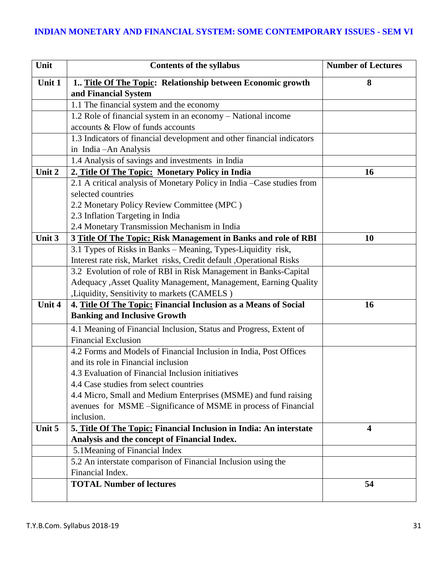# **INDIAN MONETARY AND FINANCIAL SYSTEM: SOME CONTEMPORARY ISSUES - SEM VI**

| Unit   | <b>Contents of the syllabus</b>                                        | <b>Number of Lectures</b> |
|--------|------------------------------------------------------------------------|---------------------------|
| Unit 1 | 1 Title Of The Topic: Relationship between Economic growth             | 8                         |
|        | and Financial System                                                   |                           |
|        | 1.1 The financial system and the economy                               |                           |
|        | 1.2 Role of financial system in an economy - National income           |                           |
|        | accounts & Flow of funds accounts                                      |                           |
|        | 1.3 Indicators of financial development and other financial indicators |                           |
|        | in India-An Analysis                                                   |                           |
|        | 1.4 Analysis of savings and investments in India                       |                           |
| Unit 2 | 2. Title Of The Topic: Monetary Policy in India                        | 16                        |
|        | 2.1 A critical analysis of Monetary Policy in India -Case studies from |                           |
|        | selected countries                                                     |                           |
|        | 2.2 Monetary Policy Review Committee (MPC)                             |                           |
|        | 2.3 Inflation Targeting in India                                       |                           |
|        | 2.4 Monetary Transmission Mechanism in India                           |                           |
| Unit 3 | 3 Title Of The Topic: Risk Management in Banks and role of RBI         | 10                        |
|        | 3.1 Types of Risks in Banks - Meaning, Types-Liquidity risk,           |                           |
|        | Interest rate risk, Market risks, Credit default , Operational Risks   |                           |
|        | 3.2 Evolution of role of RBI in Risk Management in Banks-Capital       |                           |
|        | Adequacy , Asset Quality Management, Management, Earning Quality       |                           |
|        | , Liquidity, Sensitivity to markets (CAMELS)                           |                           |
| Unit 4 | 4. Title Of The Topic: Financial Inclusion as a Means of Social        | 16                        |
|        | <b>Banking and Inclusive Growth</b>                                    |                           |
|        | 4.1 Meaning of Financial Inclusion, Status and Progress, Extent of     |                           |
|        | <b>Financial Exclusion</b>                                             |                           |
|        | 4.2 Forms and Models of Financial Inclusion in India, Post Offices     |                           |
|        | and its role in Financial inclusion                                    |                           |
|        | 4.3 Evaluation of Financial Inclusion initiatives                      |                           |
|        | 4.4 Case studies from select countries                                 |                           |
|        | 4.4 Micro, Small and Medium Enterprises (MSME) and fund raising        |                           |
|        | avenues for MSME-Significance of MSME in process of Financial          |                           |
|        | inclusion.                                                             |                           |
| Unit 5 | 5. Title Of The Topic: Financial Inclusion in India: An interstate     | $\overline{\mathbf{4}}$   |
|        | Analysis and the concept of Financial Index.                           |                           |
|        | 5.1 Meaning of Financial Index                                         |                           |
|        | 5.2 An interstate comparison of Financial Inclusion using the          |                           |
|        | Financial Index.                                                       |                           |
|        | <b>TOTAL Number of lectures</b>                                        | 54                        |
|        |                                                                        |                           |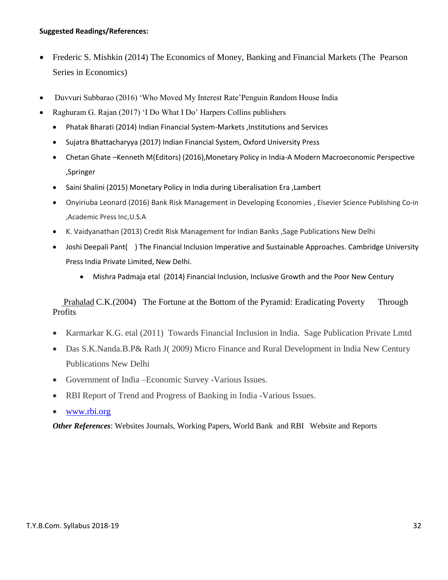#### **Suggested Readings/References:**

- Frederic S. Mishkin (2014) The Economics of Money, Banking and Financial Markets (The Pearson Series in Economics)
- Duvvuri Subbarao (2016) 'Who Moved My Interest Rate'Penguin Random House India
- Raghuram G. Rajan (2017) 'I Do What I Do' Harpers Collins publishers
	- Phatak Bharati (2014) Indian Financial System-Markets ,Institutions and Services
	- Sujatra Bhattacharyya (2017) Indian Financial System, Oxford University Press
	- Chetan Ghate –Kenneth M(Editors) (2016),Monetary Policy in India-A Modern Macroeconomic Perspective ,Springer
	- Saini Shalini (2015) Monetary Policy in India during Liberalisation Era ,Lambert
	- Onyiriuba Leonard (2016) Bank Risk Management in Developing Economies , Elsevier Science Publishing Co-in ,Academic Press Inc,U.S.A
	- K. Vaidyanathan (2013) Credit Risk Management for Indian Banks ,Sage Publications New Delhi
	- Joshi Deepali Pant( ) The Financial Inclusion Imperative and Sustainable Approaches. Cambridge University Press India Private Limited, New Delhi.
		- Mishra Padmaja etal (2014) Financial Inclusion, Inclusive Growth and the Poor New Century

 [Prahalad](https://www.amazon.in/C.K.-Prahalad/e/B001H6TXF4/ref=dp_byline_cont_book_1) C.K.(2004) The Fortune at the Bottom of the Pyramid: Eradicating Poverty Through **Profits** 

- Karmarkar K.G. etal (2011) Towards Financial Inclusion in India. Sage Publication Private Lmtd
- Das S.K.Nanda.B.P& Rath J( 2009) Micro Finance and Rural Development in India New Century Publications New Delhi
- Government of India –Economic Survey -Various Issues.
- RBI Report of Trend and Progress of Banking in India -Various Issues.
- [www.rbi.org](http://www.rbi.org/)

*Other References*: Websites Journals, Working Papers, World Bank and RBI Website and Reports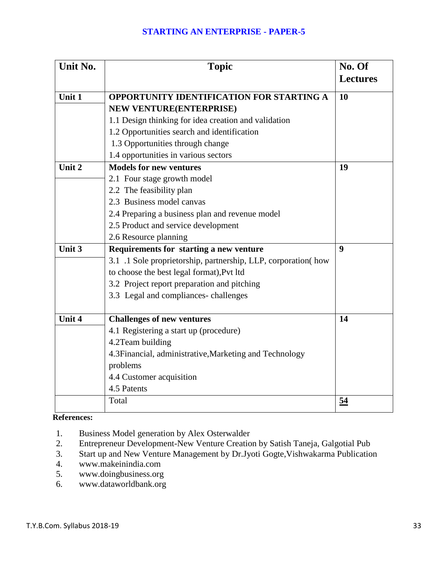### **STARTING AN ENTERPRISE - PAPER-5**

| Unit No. | <b>Topic</b>                                                  | No. Of<br><b>Lectures</b> |
|----------|---------------------------------------------------------------|---------------------------|
| Unit 1   | <b>OPPORTUNITY IDENTIFICATION FOR STARTING A</b>              | <b>10</b>                 |
|          | NEW VENTURE(ENTERPRISE)                                       |                           |
|          | 1.1 Design thinking for idea creation and validation          |                           |
|          | 1.2 Opportunities search and identification                   |                           |
|          | 1.3 Opportunities through change                              |                           |
|          | 1.4 opportunities in various sectors                          |                           |
| Unit 2   | <b>Models for new ventures</b>                                | 19                        |
|          | 2.1 Four stage growth model                                   |                           |
|          | 2.2 The feasibility plan                                      |                           |
|          | 2.3 Business model canvas                                     |                           |
|          | 2.4 Preparing a business plan and revenue model               |                           |
|          | 2.5 Product and service development                           |                           |
|          | 2.6 Resource planning                                         |                           |
| Unit 3   | Requirements for starting a new venture                       | 9                         |
|          | 3.1 .1 Sole proprietorship, partnership, LLP, corporation(how |                           |
|          | to choose the best legal format), Pvt ltd                     |                           |
|          | 3.2 Project report preparation and pitching                   |                           |
|          | 3.3 Legal and compliances-challenges                          |                           |
| Unit 4   | <b>Challenges of new ventures</b>                             | 14                        |
|          | 4.1 Registering a start up (procedure)                        |                           |
|          | 4.2Team building                                              |                           |
|          | 4.3 Financial, administrative, Marketing and Technology       |                           |
|          | problems                                                      |                           |
|          | 4.4 Customer acquisition                                      |                           |
|          | 4.5 Patents                                                   |                           |
|          | Total                                                         | 54                        |

**References:**

- 1. Business Model generation by Alex Osterwalder
- 2. Entrepreneur Development-New Venture Creation by Satish Taneja, Galgotial Pub
- 3. Start up and New Venture Management by Dr.Jyoti Gogte,Vishwakarma Publication
- 4. www.makeinindia.com<br>5. www.doingbusiness.org
- 5. www.doingbusiness.org
- 6. www.dataworldbank.org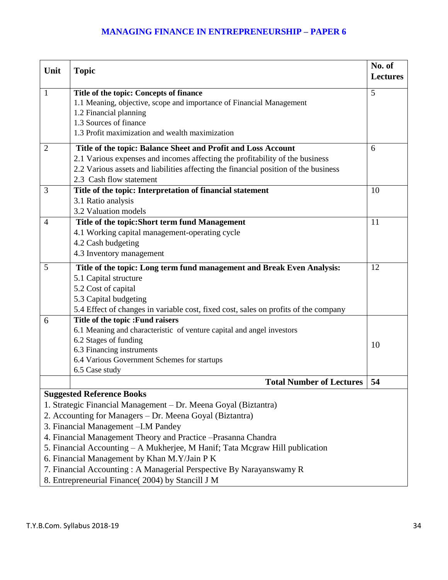## **MANAGING FINANCE IN ENTREPRENEURSHIP – PAPER 6**

| Unit                                                                         | <b>Topic</b>                                                                        | No. of<br><b>Lectures</b> |  |
|------------------------------------------------------------------------------|-------------------------------------------------------------------------------------|---------------------------|--|
|                                                                              |                                                                                     |                           |  |
| 1                                                                            | Title of the topic: Concepts of finance                                             | 5                         |  |
|                                                                              | 1.1 Meaning, objective, scope and importance of Financial Management                |                           |  |
|                                                                              | 1.2 Financial planning                                                              |                           |  |
|                                                                              | 1.3 Sources of finance                                                              |                           |  |
|                                                                              | 1.3 Profit maximization and wealth maximization                                     |                           |  |
| $\overline{2}$                                                               | Title of the topic: Balance Sheet and Profit and Loss Account                       | 6                         |  |
|                                                                              | 2.1 Various expenses and incomes affecting the profitability of the business        |                           |  |
|                                                                              | 2.2 Various assets and liabilities affecting the financial position of the business |                           |  |
|                                                                              | 2.3 Cash flow statement                                                             |                           |  |
| 3                                                                            | Title of the topic: Interpretation of financial statement                           | 10                        |  |
|                                                                              | 3.1 Ratio analysis                                                                  |                           |  |
|                                                                              | 3.2 Valuation models                                                                |                           |  |
| $\overline{4}$                                                               | Title of the topic: Short term fund Management                                      | 11                        |  |
|                                                                              | 4.1 Working capital management-operating cycle                                      |                           |  |
|                                                                              | 4.2 Cash budgeting                                                                  |                           |  |
|                                                                              | 4.3 Inventory management                                                            |                           |  |
| 5                                                                            | Title of the topic: Long term fund management and Break Even Analysis:              | 12                        |  |
|                                                                              | 5.1 Capital structure                                                               |                           |  |
|                                                                              | 5.2 Cost of capital                                                                 |                           |  |
|                                                                              | 5.3 Capital budgeting                                                               |                           |  |
|                                                                              | 5.4 Effect of changes in variable cost, fixed cost, sales on profits of the company |                           |  |
| 6                                                                            | Title of the topic :Fund raisers                                                    |                           |  |
|                                                                              | 6.1 Meaning and characteristic of venture capital and angel investors               |                           |  |
|                                                                              | 6.2 Stages of funding                                                               | 10                        |  |
|                                                                              | 6.3 Financing instruments                                                           |                           |  |
|                                                                              | 6.4 Various Government Schemes for startups                                         |                           |  |
|                                                                              | 6.5 Case study                                                                      |                           |  |
|                                                                              | <b>Total Number of Lectures</b>                                                     | 54                        |  |
|                                                                              | <b>Suggested Reference Books</b>                                                    |                           |  |
|                                                                              | 1. Strategic Financial Management – Dr. Meena Goyal (Biztantra)                     |                           |  |
| 2. Accounting for Managers - Dr. Meena Goyal (Biztantra)                     |                                                                                     |                           |  |
|                                                                              | 3. Financial Management - I.M Pandey                                                |                           |  |
| 4. Financial Management Theory and Practice - Prasanna Chandra               |                                                                                     |                           |  |
| 5. Financial Accounting – A Mukherjee, M Hanif; Tata Mcgraw Hill publication |                                                                                     |                           |  |
| 6. Financial Management by Khan M.Y/Jain P K                                 |                                                                                     |                           |  |
|                                                                              | 7. Financial Accounting: A Managerial Perspective By Narayanswamy R                 |                           |  |
|                                                                              | 8. Entrepreneurial Finance(2004) by Stancill J M                                    |                           |  |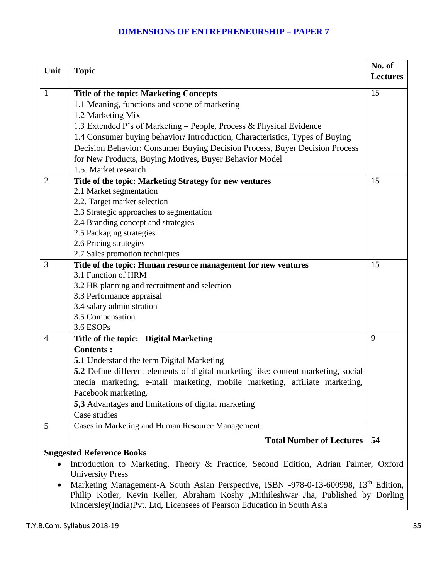|                                  |                                                                                                  | No. of          |  |
|----------------------------------|--------------------------------------------------------------------------------------------------|-----------------|--|
| Unit                             | <b>Topic</b>                                                                                     | <b>Lectures</b> |  |
| $\mathbf{1}$                     | <b>Title of the topic: Marketing Concepts</b>                                                    | 15              |  |
|                                  | 1.1 Meaning, functions and scope of marketing                                                    |                 |  |
|                                  | 1.2 Marketing Mix                                                                                |                 |  |
|                                  | 1.3 Extended P's of Marketing - People, Process & Physical Evidence                              |                 |  |
|                                  | 1.4 Consumer buying behavior: Introduction, Characteristics, Types of Buying                     |                 |  |
|                                  | Decision Behavior: Consumer Buying Decision Process, Buyer Decision Process                      |                 |  |
|                                  |                                                                                                  |                 |  |
|                                  | for New Products, Buying Motives, Buyer Behavior Model                                           |                 |  |
|                                  | 1.5. Market research                                                                             |                 |  |
| $\overline{2}$                   | Title of the topic: Marketing Strategy for new ventures                                          | 15              |  |
|                                  | 2.1 Market segmentation                                                                          |                 |  |
|                                  | 2.2. Target market selection                                                                     |                 |  |
|                                  | 2.3 Strategic approaches to segmentation                                                         |                 |  |
|                                  | 2.4 Branding concept and strategies                                                              |                 |  |
|                                  | 2.5 Packaging strategies                                                                         |                 |  |
|                                  | 2.6 Pricing strategies                                                                           |                 |  |
|                                  | 2.7 Sales promotion techniques                                                                   |                 |  |
| 3                                | Title of the topic: Human resource management for new ventures<br>3.1 Function of HRM            | 15              |  |
|                                  |                                                                                                  |                 |  |
|                                  | 3.2 HR planning and recruitment and selection                                                    |                 |  |
|                                  | 3.3 Performance appraisal                                                                        |                 |  |
|                                  | 3.4 salary administration                                                                        |                 |  |
|                                  | 3.5 Compensation                                                                                 |                 |  |
|                                  | 3.6 ESOPs                                                                                        |                 |  |
| $\overline{4}$                   | <b>Title of the topic: Digital Marketing</b>                                                     | 9               |  |
|                                  | <b>Contents:</b>                                                                                 |                 |  |
|                                  | <b>5.1</b> Understand the term Digital Marketing                                                 |                 |  |
|                                  | 5.2 Define different elements of digital marketing like: content marketing, social               |                 |  |
|                                  | media marketing, e-mail marketing, mobile marketing, affiliate marketing,                        |                 |  |
|                                  | Facebook marketing.                                                                              |                 |  |
|                                  | 5,3 Advantages and limitations of digital marketing                                              |                 |  |
|                                  | Case studies                                                                                     |                 |  |
| 5                                | Cases in Marketing and Human Resource Management                                                 |                 |  |
|                                  | <b>Total Number of Lectures</b>                                                                  | 54              |  |
| <b>Suggested Reference Books</b> |                                                                                                  |                 |  |
|                                  | Introduction to Marketing, Theory & Practice, Second Edition, Adrian Palmer, Oxford              |                 |  |
|                                  | <b>University Press</b>                                                                          |                 |  |
|                                  | Marketing Management-A South Asian Perspective, ISBN -978-0-13-600998, 13 <sup>th</sup> Edition, |                 |  |
|                                  | Philip Kotler, Kevin Keller, Abraham Koshy , Mithileshwar Jha, Published by Dorling              |                 |  |

Kindersley(India)Pvt. Ltd, Licensees of Pearson Education in South Asia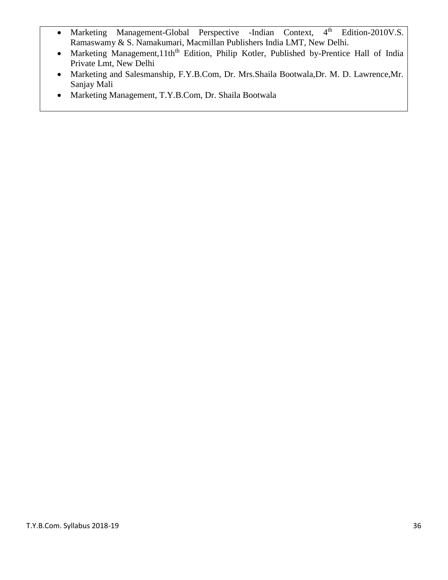- Marketing Management-Global Perspective -Indian Context, 4<sup>th</sup> Edition-2010V.S. Ramaswamy & S. Namakumari, Macmillan Publishers India LMT, New Delhi.
- Marketing Management,11th<sup>th</sup> Edition, Philip Kotler, Published by-Prentice Hall of India Private Lmt, New Delhi
- Marketing and Salesmanship, F.Y.B.Com, Dr. Mrs.Shaila Bootwala,Dr. M. D. Lawrence,Mr. Sanjay Mali
- Marketing Management, T.Y.B.Com, Dr. Shaila Bootwala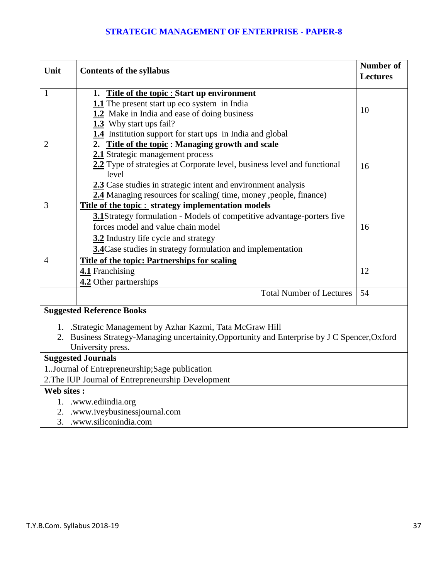### **STRATEGIC MANAGEMENT OF ENTERPRISE - PAPER-8**

| Unit           | <b>Contents of the syllabus</b>                                                               | <b>Number of</b><br><b>Lectures</b> |
|----------------|-----------------------------------------------------------------------------------------------|-------------------------------------|
| $\mathbf{1}$   | 1. Title of the topic : Start up environment                                                  |                                     |
|                | 1.1 The present start up eco system in India                                                  |                                     |
|                | 1.2 Make in India and ease of doing business                                                  | 10                                  |
|                | 1.3 Why start ups fail?                                                                       |                                     |
|                | 1.4 Institution support for start ups in India and global                                     |                                     |
| $\overline{2}$ | 2. Title of the topic: Managing growth and scale                                              |                                     |
|                | 2.1 Strategic management process                                                              |                                     |
|                | 2.2 Type of strategies at Corporate level, business level and functional<br>level             | 16                                  |
|                | 2.3 Case studies in strategic intent and environment analysis                                 |                                     |
|                | 2.4 Managing resources for scaling (time, money , people, finance)                            |                                     |
| 3              | Title of the topic : strategy implementation models                                           |                                     |
|                | 3.1Strategy formulation - Models of competitive advantage-porters five                        |                                     |
|                | forces model and value chain model                                                            | 16                                  |
|                | 3.2 Industry life cycle and strategy                                                          |                                     |
|                | 3.4 Case studies in strategy formulation and implementation                                   |                                     |
| 4              | Title of the topic: Partnerships for scaling                                                  |                                     |
|                | 4.1 Franchising                                                                               | 12                                  |
|                | 4.2 Other partnerships                                                                        |                                     |
|                | <b>Total Number of Lectures</b>                                                               | 54                                  |
|                | <b>Suggested Reference Books</b>                                                              |                                     |
|                | 1. Strategic Management by Azhar Kazmi, Tata McGraw Hill                                      |                                     |
|                | 2. Business Strategy-Managing uncertainity, Opportunity and Enterprise by J C Spencer, Oxford |                                     |
|                | University press.                                                                             |                                     |
|                | <b>Suggested Journals</b>                                                                     |                                     |
|                | 1. Journal of Entrepreneurship; Sage publication                                              |                                     |
|                | 2. The IUP Journal of Entrepreneurship Development                                            |                                     |
| Web sites:     |                                                                                               |                                     |
|                | 1. www.ediindia.org                                                                           |                                     |
|                | 2. .www.iveybusinessjournal.com                                                               |                                     |
| 3.             | .www.siliconindia.com                                                                         |                                     |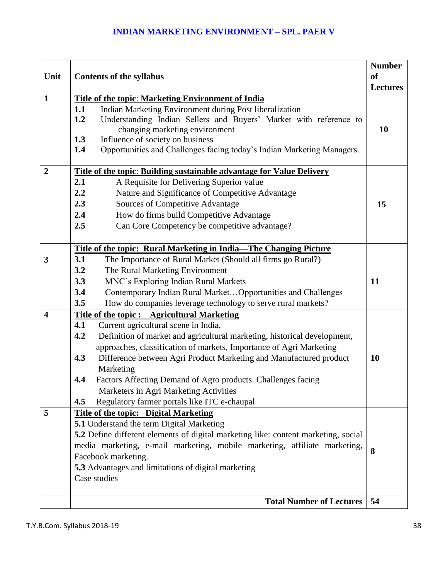|                         |                                                                                                                                                                                                                                                                                                                                                                                                                                                                                                                                                                                                                                                            | <b>Number</b>   |
|-------------------------|------------------------------------------------------------------------------------------------------------------------------------------------------------------------------------------------------------------------------------------------------------------------------------------------------------------------------------------------------------------------------------------------------------------------------------------------------------------------------------------------------------------------------------------------------------------------------------------------------------------------------------------------------------|-----------------|
| Unit                    | <b>Contents of the syllabus</b>                                                                                                                                                                                                                                                                                                                                                                                                                                                                                                                                                                                                                            | <b>of</b>       |
|                         |                                                                                                                                                                                                                                                                                                                                                                                                                                                                                                                                                                                                                                                            | <b>Lectures</b> |
| $\mathbf{1}$            | <b>Title of the topic: Marketing Environment of India</b><br>1.1<br>Indian Marketing Environment during Post liberalization<br>1.2<br>Understanding Indian Sellers and Buyers' Market with reference to<br>changing marketing environment<br>1.3<br>Influence of society on business<br>1.4<br>Opportunities and Challenges facing today's Indian Marketing Managers.                                                                                                                                                                                                                                                                                      | 10              |
| $\overline{2}$          | Title of the topic: Building sustainable advantage for Value Delivery                                                                                                                                                                                                                                                                                                                                                                                                                                                                                                                                                                                      |                 |
|                         | 2.1<br>A Requisite for Delivering Superior value<br>2.2<br>Nature and Significance of Competitive Advantage<br>2.3<br>Sources of Competitive Advantage<br>2.4<br>How do firms build Competitive Advantage<br>2.5<br>Can Core Competency be competitive advantage?                                                                                                                                                                                                                                                                                                                                                                                          | 15              |
|                         | Title of the topic: Rural Marketing in India—The Changing Picture                                                                                                                                                                                                                                                                                                                                                                                                                                                                                                                                                                                          |                 |
| 3                       | 3.1<br>The Importance of Rural Market (Should all firms go Rural?)<br>3.2<br>The Rural Marketing Environment<br>3.3<br>MNC's Exploring Indian Rural Markets<br>Contemporary Indian Rural MarketOpportunities and Challenges<br>3.4<br>3.5<br>How do companies leverage technology to serve rural markets?                                                                                                                                                                                                                                                                                                                                                  | 11              |
| $\overline{\mathbf{4}}$ | <b>Title of the topic: Agricultural Marketing</b>                                                                                                                                                                                                                                                                                                                                                                                                                                                                                                                                                                                                          |                 |
| 5                       | 4.1<br>Current agricultural scene in India,<br>Definition of market and agricultural marketing, historical development,<br>4.2<br>approaches, classification of markets, Importance of Agri Marketing<br>Difference between Agri Product Marketing and Manufactured product<br>4.3<br>Marketing<br>4.4<br>Factors Affecting Demand of Agro products. Challenges facing<br>Marketers in Agri Marketing Activities<br>Regulatory farmer portals like ITC e-chaupal<br>4.5<br>Title of the topic: Digital Marketing<br><b>5.1</b> Understand the term Digital Marketing<br>5.2 Define different elements of digital marketing like: content marketing, social | <b>10</b>       |
|                         | media marketing, e-mail marketing, mobile marketing, affiliate marketing,<br>Facebook marketing.<br>5,3 Advantages and limitations of digital marketing<br>Case studies<br><b>Total Number of Lectures</b>                                                                                                                                                                                                                                                                                                                                                                                                                                                 | 8<br>54         |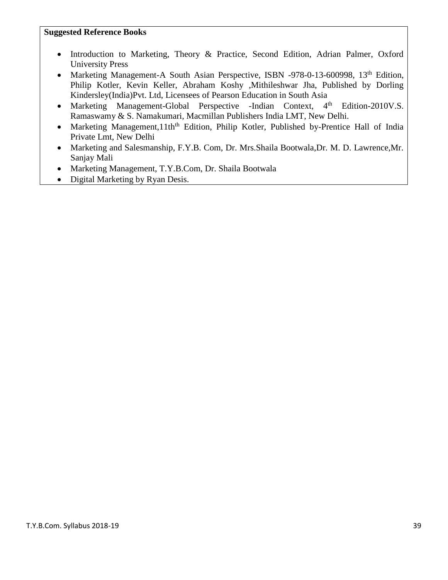#### **Suggested Reference Books**

- Introduction to Marketing, Theory & Practice, Second Edition, Adrian Palmer, Oxford University Press
- Marketing Management-A South Asian Perspective, ISBN -978-0-13-600998, 13<sup>th</sup> Edition, Philip Kotler, Kevin Keller, Abraham Koshy ,Mithileshwar Jha, Published by Dorling Kindersley(India)Pvt. Ltd, Licensees of Pearson Education in South Asia
- Marketing Management-Global Perspective -Indian Context, 4<sup>th</sup> Edition-2010V.S. Ramaswamy & S. Namakumari, Macmillan Publishers India LMT, New Delhi.
- Marketing Management,11th<sup>th</sup> Edition, Philip Kotler, Published by-Prentice Hall of India Private Lmt, New Delhi
- Marketing and Salesmanship, F.Y.B. Com, Dr. Mrs.Shaila Bootwala,Dr. M. D. Lawrence,Mr. Sanjay Mali
- Marketing Management, T.Y.B.Com, Dr. Shaila Bootwala
- Digital Marketing by Ryan Desis.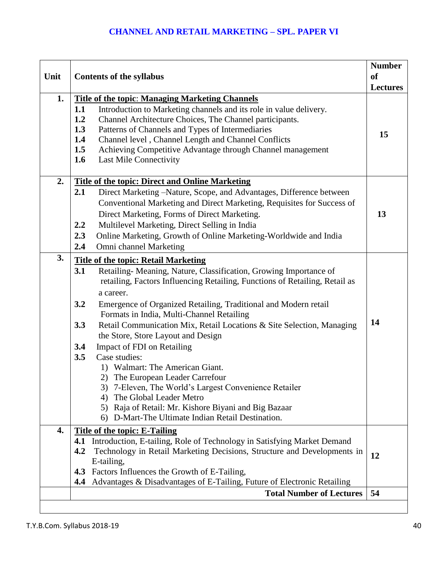| Unit | <b>Contents of the syllabus</b>                                                                                                                                                                                                                                                                                                                                                                                                                                                                                                                                                                                                                                                                                                                                                                             | <b>Number</b><br><sub>of</sub><br><b>Lectures</b> |
|------|-------------------------------------------------------------------------------------------------------------------------------------------------------------------------------------------------------------------------------------------------------------------------------------------------------------------------------------------------------------------------------------------------------------------------------------------------------------------------------------------------------------------------------------------------------------------------------------------------------------------------------------------------------------------------------------------------------------------------------------------------------------------------------------------------------------|---------------------------------------------------|
| 1.   | <b>Title of the topic: Managing Marketing Channels</b><br>1.1<br>Introduction to Marketing channels and its role in value delivery.<br>Channel Architecture Choices, The Channel participants.<br>1.2<br>1.3<br>Patterns of Channels and Types of Intermediaries<br>Channel level, Channel Length and Channel Conflicts<br>1.4<br>Achieving Competitive Advantage through Channel management<br>1.5<br>1.6<br><b>Last Mile Connectivity</b>                                                                                                                                                                                                                                                                                                                                                                 | 15                                                |
| 2.   | <b>Title of the topic: Direct and Online Marketing</b><br>2.1<br>Direct Marketing –Nature, Scope, and Advantages, Difference between<br>Conventional Marketing and Direct Marketing, Requisites for Success of<br>Direct Marketing, Forms of Direct Marketing.<br>Multilevel Marketing, Direct Selling in India<br>$2.2\phantom{0}$<br>2.3<br>Online Marketing, Growth of Online Marketing-Worldwide and India<br>Omni channel Marketing<br>2.4                                                                                                                                                                                                                                                                                                                                                             | 13                                                |
| 3.   | <b>Title of the topic: Retail Marketing</b><br>Retailing- Meaning, Nature, Classification, Growing Importance of<br>3.1<br>retailing, Factors Influencing Retailing, Functions of Retailing, Retail as<br>a career.<br>3.2<br>Emergence of Organized Retailing, Traditional and Modern retail<br>Formats in India, Multi-Channel Retailing<br>3.3<br>Retail Communication Mix, Retail Locations & Site Selection, Managing<br>the Store, Store Layout and Design<br>3.4<br>Impact of FDI on Retailing<br>Case studies:<br>3.5<br>1) Walmart: The American Giant.<br>2) The European Leader Carrefour<br>3) 7-Eleven, The World's Largest Convenience Retailer<br>4) The Global Leader Metro<br>5) Raja of Retail: Mr. Kishore Biyani and Big Bazaar<br>D-Mart-The Ultimate Indian Retail Destination.<br>6) | 14                                                |
| 4.   | <b>Title of the topic: E-Tailing</b><br>4.1 Introduction, E-tailing, Role of Technology in Satisfying Market Demand<br>4.2<br>Technology in Retail Marketing Decisions, Structure and Developments in<br>E-tailing,<br>Factors Influences the Growth of E-Tailing,<br>4.3<br>Advantages & Disadvantages of E-Tailing, Future of Electronic Retailing<br>4.4                                                                                                                                                                                                                                                                                                                                                                                                                                                 | 12                                                |
|      | <b>Total Number of Lectures</b>                                                                                                                                                                                                                                                                                                                                                                                                                                                                                                                                                                                                                                                                                                                                                                             | 54                                                |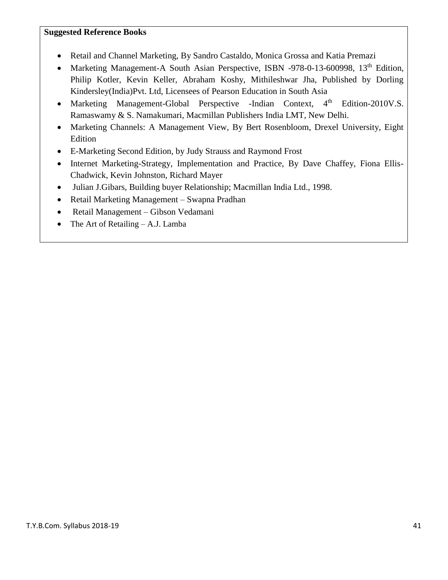#### **Suggested Reference Books**

- Retail and Channel Marketing, By Sandro Castaldo, Monica Grossa and Katia Premazi
- Marketing Management-A South Asian Perspective, ISBN -978-0-13-600998, 13<sup>th</sup> Edition, Philip Kotler, Kevin Keller, Abraham Koshy, Mithileshwar Jha, Published by Dorling Kindersley(India)Pvt. Ltd, Licensees of Pearson Education in South Asia
- Marketing Management-Global Perspective -Indian Context, 4<sup>th</sup> Edition-2010V.S. Ramaswamy & S. Namakumari, Macmillan Publishers India LMT, New Delhi.
- Marketing Channels: A Management View, By Bert Rosenbloom, Drexel University, Eight Edition
- E-Marketing Second Edition, by Judy Strauss and Raymond Frost
- Internet Marketing-Strategy, Implementation and Practice, By Dave Chaffey, Fiona Ellis-Chadwick, Kevin Johnston, Richard Mayer
- Julian J.Gibars, Building buyer Relationship; Macmillan India Ltd., 1998.
- Retail Marketing Management Swapna Pradhan
- Retail Management Gibson Vedamani
- The Art of Retailing A.J. Lamba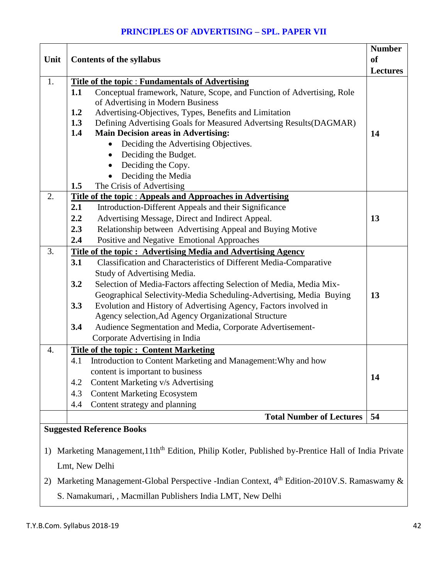## **PRINCIPLES OF ADVERTISING – SPL. PAPER VII**

|                  | Unit<br><b>Contents of the syllabus</b> |                                                                                                                                  | <b>Number</b>   |
|------------------|-----------------------------------------|----------------------------------------------------------------------------------------------------------------------------------|-----------------|
|                  |                                         |                                                                                                                                  | <b>of</b>       |
|                  |                                         |                                                                                                                                  | <b>Lectures</b> |
| 1.               | 1.1                                     | <b>Title of the topic: Fundamentals of Advertising</b><br>Conceptual framework, Nature, Scope, and Function of Advertising, Role |                 |
|                  |                                         | of Advertising in Modern Business                                                                                                |                 |
|                  | 1.2                                     | Advertising-Objectives, Types, Benefits and Limitation                                                                           |                 |
|                  | 1.3                                     | Defining Advertising Goals for Measured Advertsing Results (DAGMAR)                                                              |                 |
|                  | 1.4                                     | <b>Main Decision areas in Advertising:</b>                                                                                       | 14              |
|                  |                                         | Deciding the Advertising Objectives.                                                                                             |                 |
|                  |                                         | Deciding the Budget.<br>$\bullet$                                                                                                |                 |
|                  |                                         | Deciding the Copy.<br>$\bullet$                                                                                                  |                 |
|                  |                                         | Deciding the Media                                                                                                               |                 |
|                  | 1.5                                     | The Crisis of Advertising                                                                                                        |                 |
| 2.               |                                         | Title of the topic : Appeals and Approaches in Advertising                                                                       |                 |
|                  | 2.1                                     | Introduction-Different Appeals and their Significance                                                                            |                 |
|                  | 2.2                                     | Advertising Message, Direct and Indirect Appeal.                                                                                 | 13              |
|                  | 2.3                                     | Relationship between Advertising Appeal and Buying Motive                                                                        |                 |
|                  | 2.4                                     | Positive and Negative Emotional Approaches                                                                                       |                 |
| 3.               |                                         | Title of the topic: Advertising Media and Advertising Agency                                                                     |                 |
|                  | 3.1                                     | Classification and Characteristics of Different Media-Comparative                                                                |                 |
|                  |                                         | Study of Advertising Media.                                                                                                      |                 |
|                  | 3.2                                     | Selection of Media-Factors affecting Selection of Media, Media Mix-                                                              |                 |
|                  |                                         | Geographical Selectivity-Media Scheduling-Advertising, Media Buying                                                              | 13              |
|                  | 3.3                                     | Evolution and History of Advertising Agency, Factors involved in                                                                 |                 |
|                  |                                         | Agency selection, Ad Agency Organizational Structure                                                                             |                 |
|                  | 3.4                                     | Audience Segmentation and Media, Corporate Advertisement-                                                                        |                 |
|                  |                                         | Corporate Advertising in India                                                                                                   |                 |
| $\overline{4}$ . |                                         | <b>Title of the topic: Content Marketing</b>                                                                                     |                 |
|                  | 4.1                                     | Introduction to Content Marketing and Management: Why and how                                                                    |                 |
|                  |                                         | content is important to business                                                                                                 | 14              |
|                  | 4.2                                     | Content Marketing v/s Advertising                                                                                                |                 |
|                  | 4.3                                     | <b>Content Marketing Ecosystem</b>                                                                                               |                 |
|                  | 4.4                                     | Content strategy and planning                                                                                                    |                 |
|                  |                                         | <b>Total Number of Lectures</b>                                                                                                  | 54              |
|                  |                                         | <b>Suggested Reference Books</b>                                                                                                 |                 |
|                  |                                         |                                                                                                                                  |                 |
|                  |                                         | 1) Marketing Management, 11th <sup>th</sup> Edition, Philip Kotler, Published by-Prentice Hall of India Private                  |                 |

Lmt, New Delhi

2) Marketing Management-Global Perspective -Indian Context, 4<sup>th</sup> Edition-2010V.S. Ramaswamy &

S. Namakumari, , Macmillan Publishers India LMT, New Delhi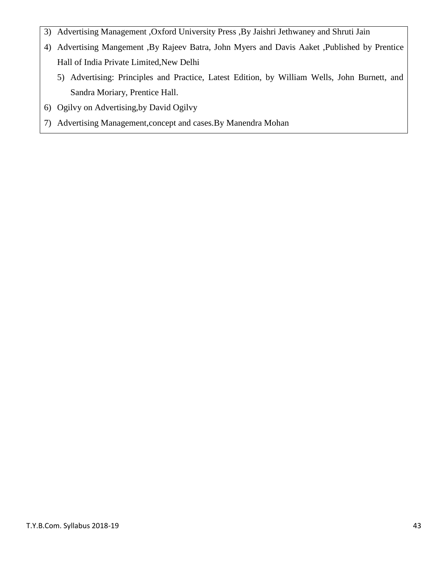- 3) Advertising Management ,Oxford University Press ,By Jaishri Jethwaney and Shruti Jain
- 4) Advertising Mangement ,By Rajeev Batra, John Myers and Davis Aaket ,Published by Prentice Hall of India Private Limited,New Delhi
	- 5) Advertising: Principles and Practice, Latest Edition, by William Wells, John Burnett, and Sandra Moriary, Prentice Hall.
- 6) Ogilvy on Advertising,by David Ogilvy
- 7) Advertising Management,concept and cases.By Manendra Mohan